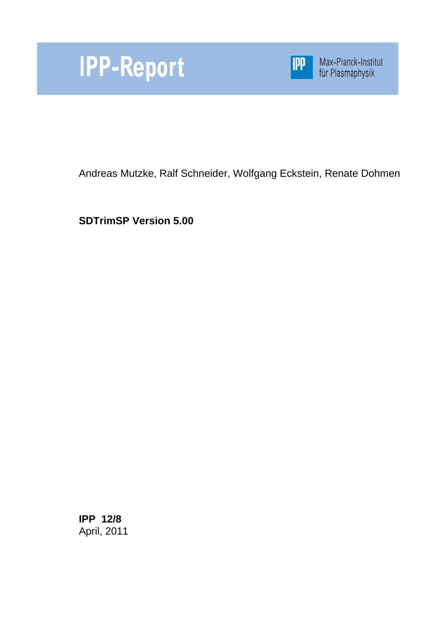



Max-Planck-Institut<br>für Plasmaphysik

Andreas Mutzke, Ralf Schneider, Wolfgang Eckstein, Renate Dohmen

**SDTrimSP Version 5.00**

**IPP 12/8** April, 2011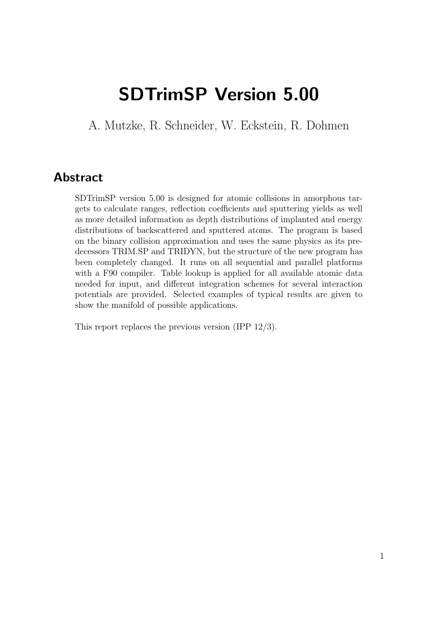# SDTrimSP Version 5.00

A. Mutzke, R. Schneider, W. Eckstein, R. Dohmen

## Abstract

SDTrimSP version 5.00 is designed for atomic collisions in amorphous targets to calculate ranges, reflection coefficients and sputtering yields as well as more detailed information as depth distributions of implanted and energy distributions of backscattered and sputtered atoms. The program is based on the binary collision approximation and uses the same physics as its predecessors TRIM.SP and TRIDYN, but the structure of the new program has been completely changed. It runs on all sequential and parallel platforms with a F90 compiler. Table lookup is applied for all available atomic data needed for input, and different integration schemes for several interaction potentials are provided. Selected examples of typical results are given to show the manifold of possible applications.

This report replaces the previous version (IPP 12/3).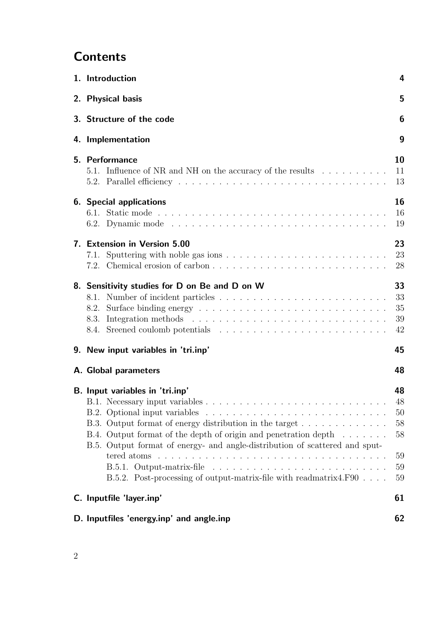# **Contents**

| 1. Introduction                                                                                                                                                                                                                                                                                                                                                                                                                                 | 4                                            |
|-------------------------------------------------------------------------------------------------------------------------------------------------------------------------------------------------------------------------------------------------------------------------------------------------------------------------------------------------------------------------------------------------------------------------------------------------|----------------------------------------------|
| 2. Physical basis                                                                                                                                                                                                                                                                                                                                                                                                                               | 5                                            |
| 3. Structure of the code                                                                                                                                                                                                                                                                                                                                                                                                                        | 6                                            |
| 4. Implementation                                                                                                                                                                                                                                                                                                                                                                                                                               | 9                                            |
| 5. Performance<br>5.1. Influence of NR and NH on the accuracy of the results                                                                                                                                                                                                                                                                                                                                                                    | 10<br>11<br>13                               |
| <b>6.</b> Special applications                                                                                                                                                                                                                                                                                                                                                                                                                  | 16<br>16<br>19                               |
| 7. Extension in Version 5.00<br>7.1.                                                                                                                                                                                                                                                                                                                                                                                                            | 23<br>23<br>28                               |
| 8. Sensitivity studies for D on Be and D on W<br>8.2.                                                                                                                                                                                                                                                                                                                                                                                           | 33<br>33<br>35<br>39<br>42                   |
| 9. New input variables in 'tri.inp'                                                                                                                                                                                                                                                                                                                                                                                                             | 45                                           |
| A. Global parameters                                                                                                                                                                                                                                                                                                                                                                                                                            | 48                                           |
| B. Input variables in 'tri.inp'<br>B.3. Output format of energy distribution in the target<br>B.4. Output format of the depth of origin and penetration depth $\dots \dots$<br>B.5. Output format of energy- and angle-distribution of scattered and sput-<br>tered atoms $\ldots \ldots \ldots \ldots \ldots \ldots \ldots \ldots \ldots \ldots \ldots \ldots$<br>B.5.2. Post-processing of output-matrix-file with readmatrix4.F90 $\ldots$ . | 48<br>48<br>50<br>58<br>58<br>59<br>59<br>59 |
| C. Inputfile 'layer.inp'                                                                                                                                                                                                                                                                                                                                                                                                                        | 61                                           |
| D. Inputfiles 'energy.inp' and angle.inp                                                                                                                                                                                                                                                                                                                                                                                                        | 62                                           |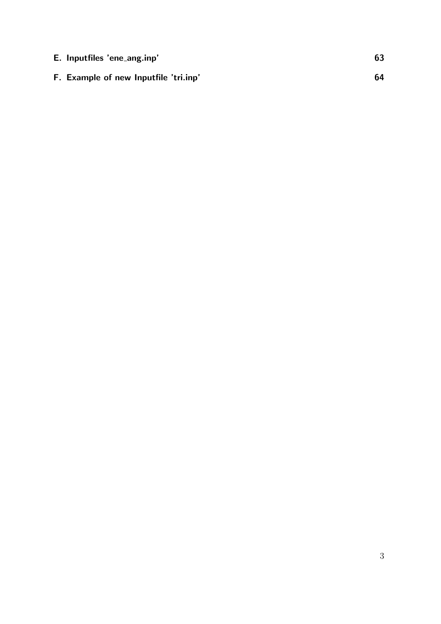| E. Inputfiles 'ene_ang.inp'           | 63 |
|---------------------------------------|----|
| F. Example of new Inputfile 'tri.inp' | 64 |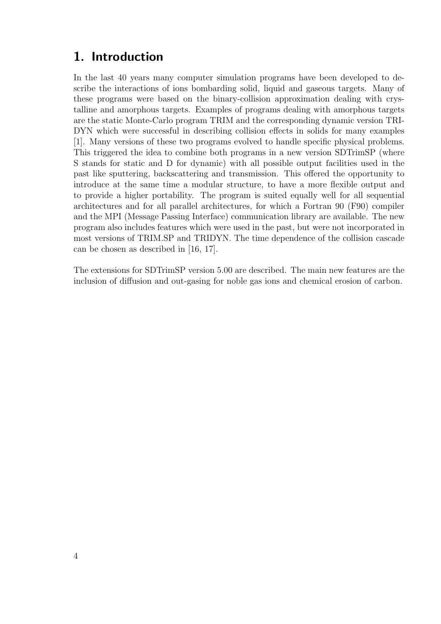## 1. Introduction

In the last 40 years many computer simulation programs have been developed to describe the interactions of ions bombarding solid, liquid and gaseous targets. Many of these programs were based on the binary-collision approximation dealing with crystalline and amorphous targets. Examples of programs dealing with amorphous targets are the static Monte-Carlo program TRIM and the corresponding dynamic version TRI-DYN which were successful in describing collision effects in solids for many examples [1]. Many versions of these two programs evolved to handle specific physical problems. This triggered the idea to combine both programs in a new version SDTrimSP (where S stands for static and D for dynamic) with all possible output facilities used in the past like sputtering, backscattering and transmission. This offered the opportunity to introduce at the same time a modular structure, to have a more flexible output and to provide a higher portability. The program is suited equally well for all sequential architectures and for all parallel architectures, for which a Fortran 90 (F90) compiler and the MPI (Message Passing Interface) communication library are available. The new program also includes features which were used in the past, but were not incorporated in most versions of TRIM.SP and TRIDYN. The time dependence of the collision cascade can be chosen as described in [16, 17].

The extensions for SDTrimSP version 5.00 are described. The main new features are the inclusion of diffusion and out-gasing for noble gas ions and chemical erosion of carbon.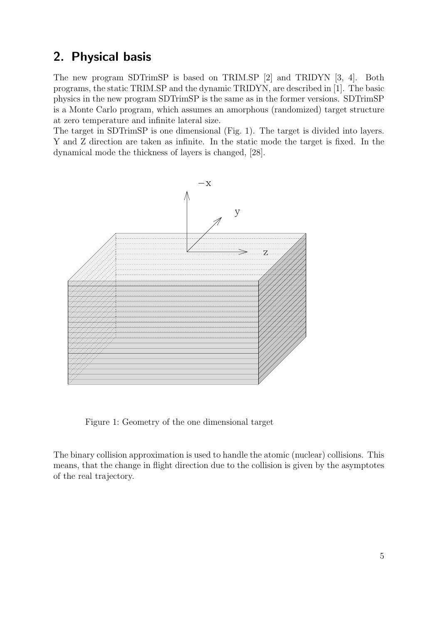## 2. Physical basis

The new program SDTrimSP is based on TRIM.SP [2] and TRIDYN [3, 4]. Both programs, the static TRIM.SP and the dynamic TRIDYN, are described in [1]. The basic physics in the new program SDTrimSP is the same as in the former versions. SDTrimSP is a Monte Carlo program, which assumes an amorphous (randomized) target structure at zero temperature and infinite lateral size.

The target in SDTrimSP is one dimensional (Fig. 1). The target is divided into layers. Y and Z direction are taken as infinite. In the static mode the target is fixed. In the dynamical mode the thickness of layers is changed, [28].



Figure 1: Geometry of the one dimensional target

The binary collision approximation is used to handle the atomic (nuclear) collisions. This means, that the change in flight direction due to the collision is given by the asymptotes of the real trajectory.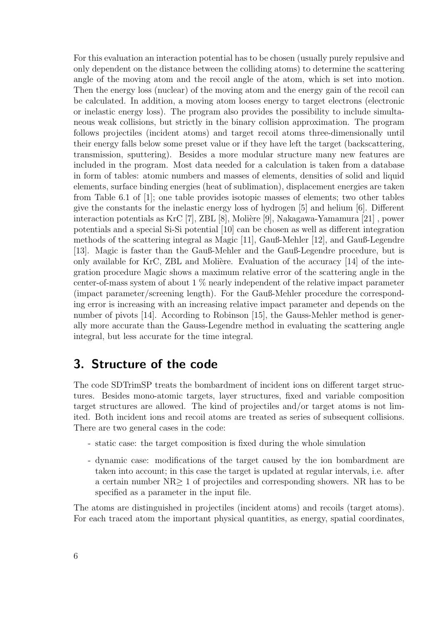For this evaluation an interaction potential has to be chosen (usually purely repulsive and only dependent on the distance between the colliding atoms) to determine the scattering angle of the moving atom and the recoil angle of the atom, which is set into motion. Then the energy loss (nuclear) of the moving atom and the energy gain of the recoil can be calculated. In addition, a moving atom looses energy to target electrons (electronic or inelastic energy loss). The program also provides the possibility to include simultaneous weak collisions, but strictly in the binary collision approximation. The program follows projectiles (incident atoms) and target recoil atoms three-dimensionally until their energy falls below some preset value or if they have left the target (backscattering, transmission, sputtering). Besides a more modular structure many new features are included in the program. Most data needed for a calculation is taken from a database in form of tables: atomic numbers and masses of elements, densities of solid and liquid elements, surface binding energies (heat of sublimation), displacement energies are taken from Table 6.1 of [1]; one table provides isotopic masses of elements; two other tables give the constants for the inelastic energy loss of hydrogen [5] and helium [6]. Different interaction potentials as KrC [7], ZBL [8], Molière [9], Nakagawa-Yamamura [21], power potentials and a special Si-Si potential [10] can be chosen as well as different integration methods of the scattering integral as Magic [11], Gauß-Mehler [12], and Gauß-Legendre [13]. Magic is faster than the Gauß-Mehler and the Gauß-Legendre procedure, but is only available for KrC, ZBL and Molière. Evaluation of the accuracy  $[14]$  of the integration procedure Magic shows a maximum relative error of the scattering angle in the center-of-mass system of about 1 % nearly independent of the relative impact parameter (impact parameter/screening length). For the Gauß-Mehler procedure the corresponding error is increasing with an increasing relative impact parameter and depends on the number of pivots [14]. According to Robinson [15], the Gauss-Mehler method is generally more accurate than the Gauss-Legendre method in evaluating the scattering angle integral, but less accurate for the time integral.

## 3. Structure of the code

The code SDTrimSP treats the bombardment of incident ions on different target structures. Besides mono-atomic targets, layer structures, fixed and variable composition target structures are allowed. The kind of projectiles and/or target atoms is not limited. Both incident ions and recoil atoms are treated as series of subsequent collisions. There are two general cases in the code:

- static case: the target composition is fixed during the whole simulation
- dynamic case: modifications of the target caused by the ion bombardment are taken into account; in this case the target is updated at regular intervals, i.e. after a certain number NR≥ 1 of projectiles and corresponding showers. NR has to be specified as a parameter in the input file.

The atoms are distinguished in projectiles (incident atoms) and recoils (target atoms). For each traced atom the important physical quantities, as energy, spatial coordinates,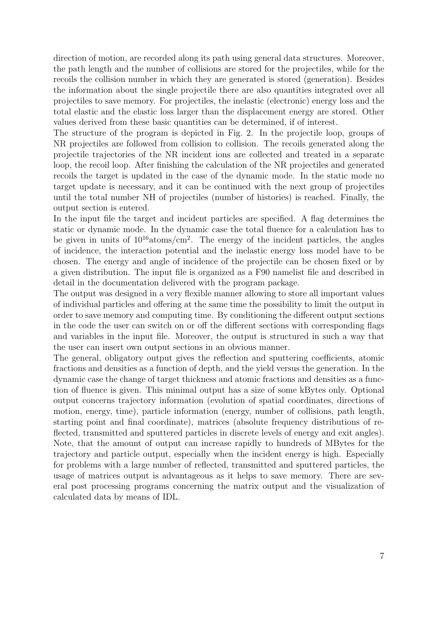direction of motion, are recorded along its path using general data structures. Moreover, the path length and the number of collisions are stored for the projectiles, while for the recoils the collision number in which they are generated is stored (generation). Besides the information about the single projectile there are also quantities integrated over all projectiles to save memory. For projectiles, the inelastic (electronic) energy loss and the total elastic and the elastic loss larger than the displacement energy are stored. Other values derived from these basic quantities can be determined, if of interest.

The structure of the program is depicted in Fig. 2. In the projectile loop, groups of NR projectiles are followed from collision to collision. The recoils generated along the projectile trajectories of the NR incident ions are collected and treated in a separate loop, the recoil loop. After finishing the calculation of the NR projectiles and generated recoils the target is updated in the case of the dynamic mode. In the static mode no target update is necessary, and it can be continued with the next group of projectiles until the total number NH of projectiles (number of histories) is reached. Finally, the output section is entered.

In the input file the target and incident particles are specified. A flag determines the static or dynamic mode. In the dynamic case the total fluence for a calculation has to be given in units of  $10^{16}$ atoms/cm<sup>2</sup>. The energy of the incident particles, the angles of incidence, the interaction potential and the inelastic energy loss model have to be chosen. The energy and angle of incidence of the projectile can be chosen fixed or by a given distribution. The input file is organized as a F90 namelist file and described in detail in the documentation delivered with the program package.

The output was designed in a very flexible manner allowing to store all important values of individual particles and offering at the same time the possibility to limit the output in order to save memory and computing time. By conditioning the different output sections in the code the user can switch on or off the different sections with corresponding flags and variables in the input file. Moreover, the output is structured in such a way that the user can insert own output sections in an obvious manner.

The general, obligatory output gives the reflection and sputtering coefficients, atomic fractions and densities as a function of depth, and the yield versus the generation. In the dynamic case the change of target thickness and atomic fractions and densities as a function of fluence is given. This minimal output has a size of some kBytes only. Optional output concerns trajectory information (evolution of spatial coordinates, directions of motion, energy, time), particle information (energy, number of collisions, path length, starting point and final coordinate), matrices (absolute frequency distributions of reflected, transmitted and sputtered particles in discrete levels of energy and exit angles). Note, that the amount of output can increase rapidly to hundreds of MBytes for the trajectory and particle output, especially when the incident energy is high. Especially for problems with a large number of reflected, transmitted and sputtered particles, the usage of matrices output is advantageous as it helps to save memory. There are several post processing programs concerning the matrix output and the visualization of calculated data by means of IDL.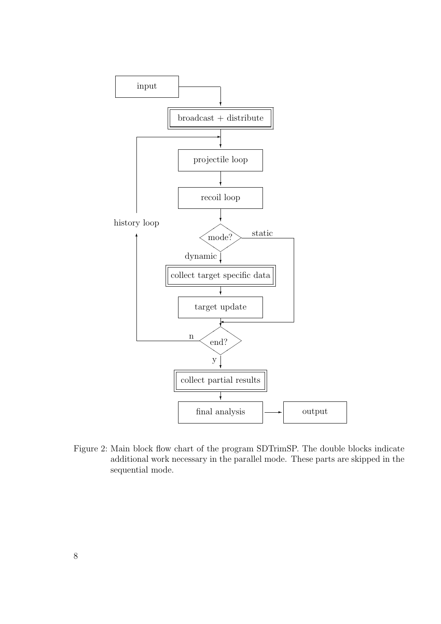

Figure 2: Main block flow chart of the program SDTrimSP. The double blocks indicate additional work necessary in the parallel mode. These parts are skipped in the sequential mode.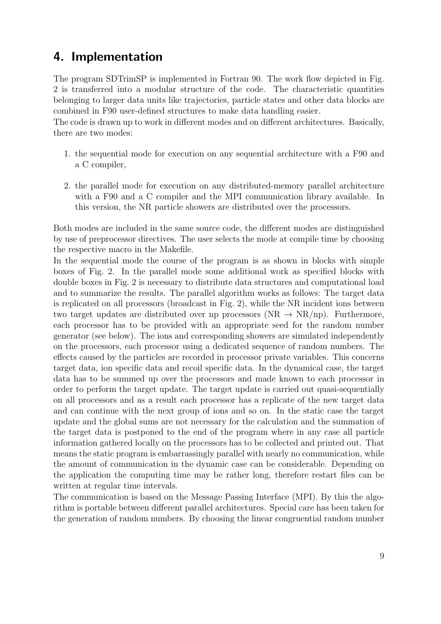## 4. Implementation

The program SDTrimSP is implemented in Fortran 90. The work flow depicted in Fig. 2 is transferred into a modular structure of the code. The characteristic quantities belonging to larger data units like trajectories, particle states and other data blocks are combined in F90 user-defined structures to make data handling easier.

The code is drawn up to work in different modes and on different architectures. Basically, there are two modes:

- 1. the sequential mode for execution on any sequential architecture with a F90 and a C compiler,
- 2. the parallel mode for execution on any distributed-memory parallel architecture with a F90 and a C compiler and the MPI communication library available. In this version, the NR particle showers are distributed over the processors.

Both modes are included in the same source code, the different modes are distinguished by use of preprocessor directives. The user selects the mode at compile time by choosing the respective macro in the Makefile.

In the sequential mode the course of the program is as shown in blocks with simple boxes of Fig. 2. In the parallel mode some additional work as specified blocks with double boxes in Fig. 2 is necessary to distribute data structures and computational load and to summarize the results. The parallel algorithm works as follows: The target data is replicated on all processors (broadcast in Fig. 2), while the NR incident ions between two target updates are distributed over np processors (NR  $\rightarrow$  NR/np). Furthermore, each processor has to be provided with an appropriate seed for the random number generator (see below). The ions and corresponding showers are simulated independently on the processors, each processor using a dedicated sequence of random numbers. The effects caused by the particles are recorded in processor private variables. This concerns target data, ion specific data and recoil specific data. In the dynamical case, the target data has to be summed up over the processors and made known to each processor in order to perform the target update. The target update is carried out quasi-sequentially on all processors and as a result each processor has a replicate of the new target data and can continue with the next group of ions and so on. In the static case the target update and the global sums are not necessary for the calculation and the summation of the target data is postponed to the end of the program where in any case all particle information gathered locally on the processors has to be collected and printed out. That means the static program is embarrassingly parallel with nearly no communication, while the amount of communication in the dynamic case can be considerable. Depending on the application the computing time may be rather long, therefore restart files can be written at regular time intervals.

The communication is based on the Message Passing Interface (MPI). By this the algorithm is portable between different parallel architectures. Special care has been taken for the generation of random numbers. By choosing the linear congruential random number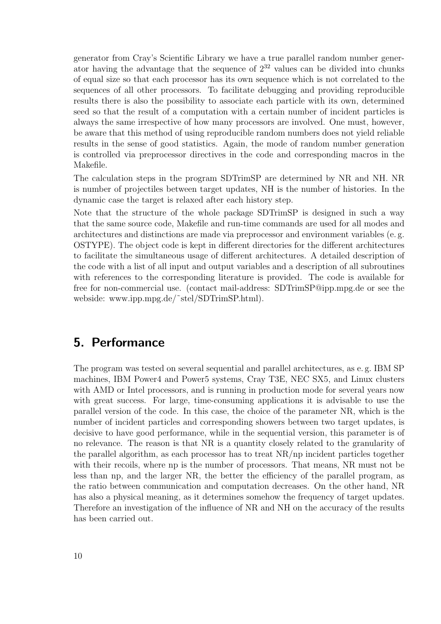generator from Cray's Scientific Library we have a true parallel random number generator having the advantage that the sequence of  $2^{32}$  values can be divided into chunks of equal size so that each processor has its own sequence which is not correlated to the sequences of all other processors. To facilitate debugging and providing reproducible results there is also the possibility to associate each particle with its own, determined seed so that the result of a computation with a certain number of incident particles is always the same irrespective of how many processors are involved. One must, however, be aware that this method of using reproducible random numbers does not yield reliable results in the sense of good statistics. Again, the mode of random number generation is controlled via preprocessor directives in the code and corresponding macros in the Makefile.

The calculation steps in the program SDTrimSP are determined by NR and NH. NR is number of projectiles between target updates, NH is the number of histories. In the dynamic case the target is relaxed after each history step.

Note that the structure of the whole package SDTrimSP is designed in such a way that the same source code, Makefile and run-time commands are used for all modes and architectures and distinctions are made via preprocessor and environment variables (e. g. OSTYPE). The object code is kept in different directories for the different architectures to facilitate the simultaneous usage of different architectures. A detailed description of the code with a list of all input and output variables and a description of all subroutines with references to the corresponding literature is provided. The code is available for free for non-commercial use. (contact mail-address: SDTrimSP@ipp.mpg.de or see the webside: www.ipp.mpg.de/˜stel/SDTrimSP.html).

## 5. Performance

The program was tested on several sequential and parallel architectures, as e. g. IBM SP machines, IBM Power4 and Power5 systems, Cray T3E, NEC SX5, and Linux clusters with AMD or Intel processors, and is running in production mode for several years now with great success. For large, time-consuming applications it is advisable to use the parallel version of the code. In this case, the choice of the parameter NR, which is the number of incident particles and corresponding showers between two target updates, is decisive to have good performance, while in the sequential version, this parameter is of no relevance. The reason is that NR is a quantity closely related to the granularity of the parallel algorithm, as each processor has to treat NR/np incident particles together with their recoils, where np is the number of processors. That means, NR must not be less than np, and the larger NR, the better the efficiency of the parallel program, as the ratio between communication and computation decreases. On the other hand, NR has also a physical meaning, as it determines somehow the frequency of target updates. Therefore an investigation of the influence of NR and NH on the accuracy of the results has been carried out.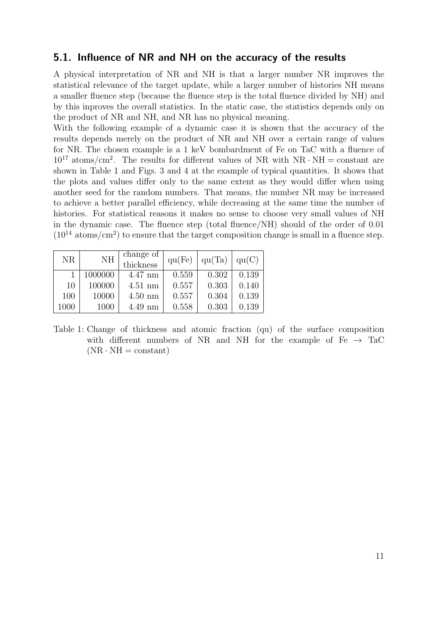### 5.1. Influence of NR and NH on the accuracy of the results

A physical interpretation of NR and NH is that a larger number NR improves the statistical relevance of the target update, while a larger number of histories NH means a smaller fluence step (because the fluence step is the total fluence divided by NH) and by this inproves the overall statistics. In the static case, the statistics depends only on the product of NR and NH, and NR has no physical meaning.

With the following example of a dynamic case it is shown that the accuracy of the results depends merely on the product of NR and NH over a certain range of values for NR. The chosen example is a 1 keV bombardment of Fe on TaC with a fluence of  $10^{17}$  atoms/cm<sup>2</sup>. The results for different values of NR with NR  $\cdot$  NH = constant are shown in Table 1 and Figs. 3 and 4 at the example of typical quantities. It shows that the plots and values differ only to the same extent as they would differ when using another seed for the random numbers. That means, the number NR may be increased to achieve a better parallel efficiency, while decreasing at the same time the number of histories. For statistical reasons it makes no sense to choose very small values of NH in the dynamic case. The fluence step (total fluence/NH) should of the order of 0.01  $(10^{14} \text{ atoms/cm}^2)$  to ensure that the target composition change is small in a fluence step.

| NR       | NH      | change of<br>thickness | qu(Fe) | qu(Ta) | qu(C) |
|----------|---------|------------------------|--------|--------|-------|
|          | 1000000 | $4.47$ nm              | 0.559  | 0.302  | 0.139 |
| 10       | 100000  | $4.51 \text{ nm}$      | 0.557  | 0.303  | 0.140 |
| 100      | 10000   | $4.50$ nm              | 0.557  | 0.304  | 0.139 |
| $1000\,$ | 1000    | $4.49$ nm              | 0.558  | 0.303  | 0.139 |

Table 1: Change of thickness and atomic fraction (qu) of the surface composition with different numbers of NR and NH for the example of Fe  $\rightarrow$  TaC  $(NR \cdot NH = constant)$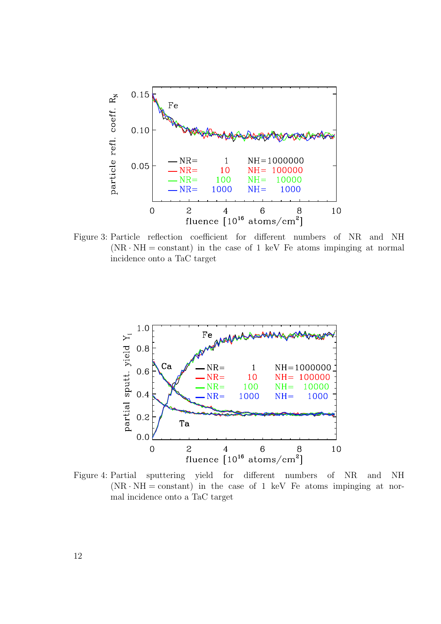

Figure 3: Particle reflection coefficient for different numbers of NR and NH  $(NR \cdot NH = constant)$  in the case of 1 keV Fe atoms impinging at normal incidence onto a TaC target



Figure 4: Partial sputtering yield for different numbers of NR and NH  $(NR \cdot NH = constant)$  in the case of 1 keV Fe atoms impinging at normal incidence onto a TaC target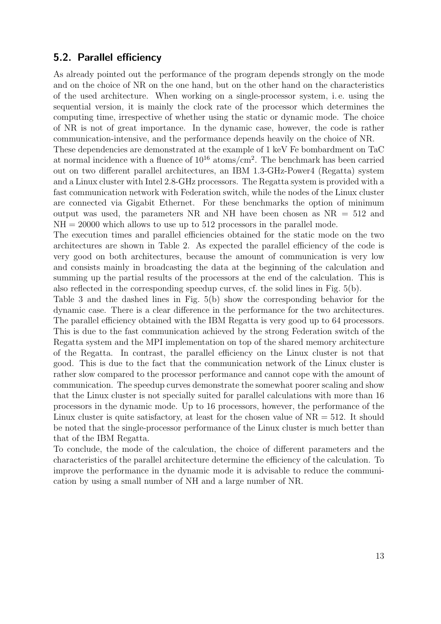### 5.2. Parallel efficiency

As already pointed out the performance of the program depends strongly on the mode and on the choice of NR on the one hand, but on the other hand on the characteristics of the used architecture. When working on a single-processor system, i. e. using the sequential version, it is mainly the clock rate of the processor which determines the computing time, irrespective of whether using the static or dynamic mode. The choice of NR is not of great importance. In the dynamic case, however, the code is rather communication-intensive, and the performance depends heavily on the choice of NR.

These dependencies are demonstrated at the example of 1 keV Fe bombardment on TaC at normal incidence with a fluence of  $10^{16}$  atoms/cm<sup>2</sup>. The benchmark has been carried out on two different parallel architectures, an IBM 1.3-GHz-Power4 (Regatta) system and a Linux cluster with Intel 2.8-GHz processors. The Regatta system is provided with a fast communication network with Federation switch, while the nodes of the Linux cluster are connected via Gigabit Ethernet. For these benchmarks the option of minimum output was used, the parameters NR and NH have been chosen as  $NR = 512$  and  $NH = 20000$  which allows to use up to 512 processors in the parallel mode.

The execution times and parallel efficiencies obtained for the static mode on the two architectures are shown in Table 2. As expected the parallel efficiency of the code is very good on both architectures, because the amount of communication is very low and consists mainly in broadcasting the data at the beginning of the calculation and summing up the partial results of the processors at the end of the calculation. This is also reflected in the corresponding speedup curves, cf. the solid lines in Fig. 5(b).

Table 3 and the dashed lines in Fig. 5(b) show the corresponding behavior for the dynamic case. There is a clear difference in the performance for the two architectures. The parallel efficiency obtained with the IBM Regatta is very good up to 64 processors. This is due to the fast communication achieved by the strong Federation switch of the Regatta system and the MPI implementation on top of the shared memory architecture of the Regatta. In contrast, the parallel efficiency on the Linux cluster is not that good. This is due to the fact that the communication network of the Linux cluster is rather slow compared to the processor performance and cannot cope with the amount of communication. The speedup curves demonstrate the somewhat poorer scaling and show that the Linux cluster is not specially suited for parallel calculations with more than 16 processors in the dynamic mode. Up to 16 processors, however, the performance of the Linux cluster is quite satisfactory, at least for the chosen value of  $NR = 512$ . It should be noted that the single-processor performance of the Linux cluster is much better than that of the IBM Regatta.

To conclude, the mode of the calculation, the choice of different parameters and the characteristics of the parallel architecture determine the efficiency of the calculation. To improve the performance in the dynamic mode it is advisable to reduce the communication by using a small number of NH and a large number of NR.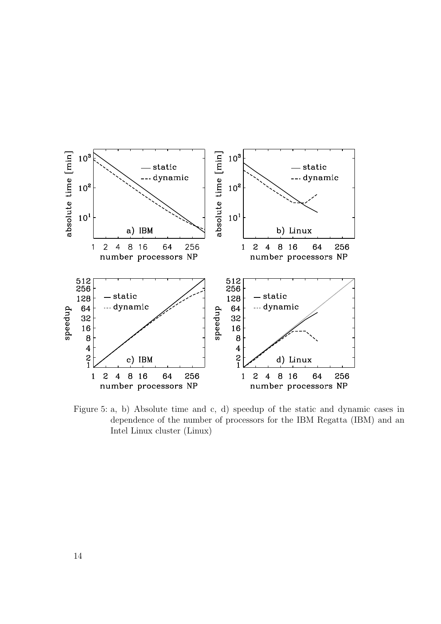

Figure 5: a, b) Absolute time and c, d) speedup of the static and dynamic cases in dependence of the number of processors for the IBM Regatta (IBM) and an Intel Linux cluster (Linux)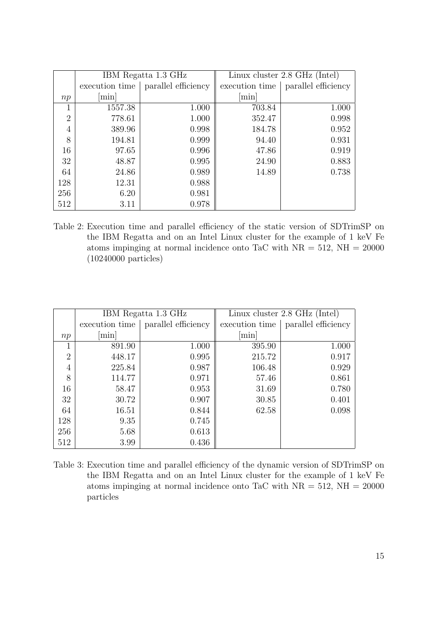|                | IBM Regatta 1.3 GHz |                     | Linux cluster 2.8 GHz (Intel) |                     |
|----------------|---------------------|---------------------|-------------------------------|---------------------|
|                | execution time      | parallel efficiency | execution time                | parallel efficiency |
| np             | min                 |                     | $\lceil \min \rceil$          |                     |
|                | 1557.38             | 1.000               | 703.84                        | 1.000               |
| $\overline{2}$ | 778.61              | 1.000               | 352.47                        | 0.998               |
| 4              | 389.96              | 0.998               | 184.78                        | 0.952               |
| 8              | 194.81              | 0.999               | 94.40                         | 0.931               |
| 16             | 97.65               | 0.996               | 47.86                         | 0.919               |
| 32             | 48.87               | 0.995               | 24.90                         | 0.883               |
| 64             | 24.86               | 0.989               | 14.89                         | 0.738               |
| 128            | 12.31               | 0.988               |                               |                     |
| 256            | 6.20                | 0.981               |                               |                     |
| 512            | 3.11                | 0.978               |                               |                     |

Table 2: Execution time and parallel efficiency of the static version of SDTrimSP on the IBM Regatta and on an Intel Linux cluster for the example of 1 keV Fe atoms impinging at normal incidence onto TaC with  $NR = 512$ ,  $NH = 20000$ (10240000 particles)

|     |                | IBM Regatta 1.3 GHz |                      | Linux cluster 2.8 GHz (Intel) |
|-----|----------------|---------------------|----------------------|-------------------------------|
|     | execution time | parallel efficiency | execution time       | parallel efficiency           |
| np  | min            |                     | $\lceil \min \rceil$ |                               |
| 1   | 891.90         | 1.000               | 395.90               | 1.000                         |
| 2   | 448.17         | 0.995               | 215.72               | 0.917                         |
| 4   | 225.84         | 0.987               | 106.48               | 0.929                         |
| 8   | 114.77         | 0.971               | 57.46                | 0.861                         |
| 16  | 58.47          | 0.953               | 31.69                | 0.780                         |
| 32  | 30.72          | 0.907               | 30.85                | 0.401                         |
| 64  | 16.51          | 0.844               | 62.58                | 0.098                         |
| 128 | 9.35           | 0.745               |                      |                               |
| 256 | 5.68           | 0.613               |                      |                               |
| 512 | 3.99           | 0.436               |                      |                               |

Table 3: Execution time and parallel efficiency of the dynamic version of SDTrimSP on the IBM Regatta and on an Intel Linux cluster for the example of 1 keV Fe atoms impinging at normal incidence onto TaC with  $NR = 512$ ,  $NH = 20000$ particles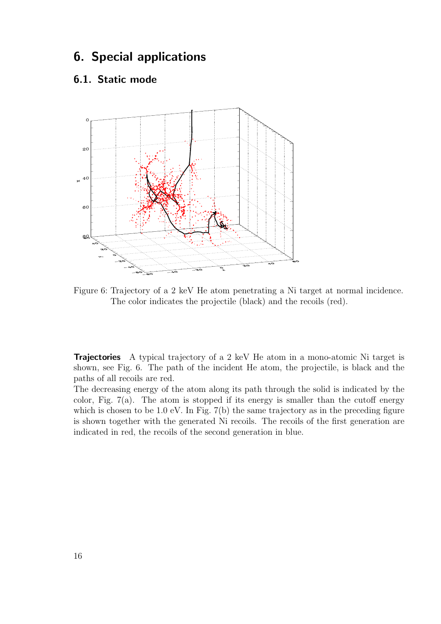## 6. Special applications

### 6.1. Static mode



Figure 6: Trajectory of a 2 keV He atom penetrating a Ni target at normal incidence. The color indicates the projectile (black) and the recoils (red).

Trajectories A typical trajectory of a 2 keV He atom in a mono-atomic Ni target is shown, see Fig. 6. The path of the incident He atom, the projectile, is black and the paths of all recoils are red.

The decreasing energy of the atom along its path through the solid is indicated by the color, Fig.  $7(a)$ . The atom is stopped if its energy is smaller than the cutoff energy which is chosen to be 1.0 eV. In Fig. 7(b) the same trajectory as in the preceding figure is shown together with the generated Ni recoils. The recoils of the first generation are indicated in red, the recoils of the second generation in blue.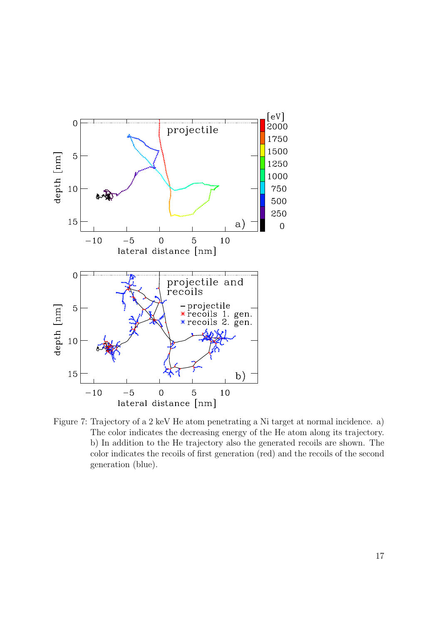

Figure 7: Trajectory of a 2 keV He atom penetrating a Ni target at normal incidence. a) The color indicates the decreasing energy of the He atom along its trajectory. b) In addition to the He trajectory also the generated recoils are shown. The color indicates the recoils of first generation (red) and the recoils of the second generation (blue).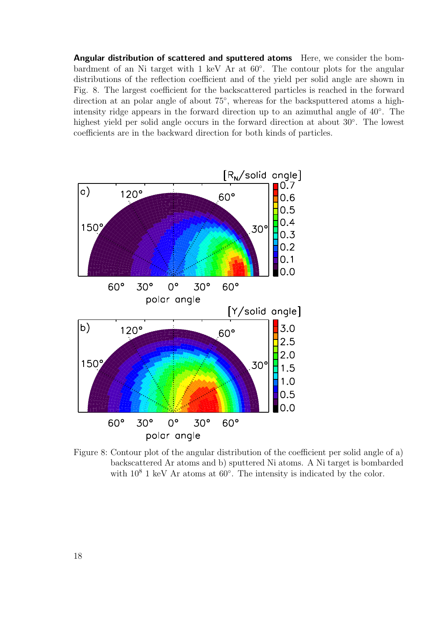Angular distribution of scattered and sputtered atoms Here, we consider the bombardment of an Ni target with 1 keV Ar at 60<sup>°</sup>. The contour plots for the angular distributions of the reflection coefficient and of the yield per solid angle are shown in Fig. 8. The largest coefficient for the backscattered particles is reached in the forward direction at an polar angle of about 75°, whereas for the backsputtered atoms a highintensity ridge appears in the forward direction up to an azimuthal angle of 40◦ . The highest yield per solid angle occurs in the forward direction at about 30◦ . The lowest coefficients are in the backward direction for both kinds of particles.



Figure 8: Contour plot of the angular distribution of the coefficient per solid angle of a) backscattered Ar atoms and b) sputtered Ni atoms. A Ni target is bombarded with  $10^8$  1 keV Ar atoms at  $60^{\circ}$ . The intensity is indicated by the color.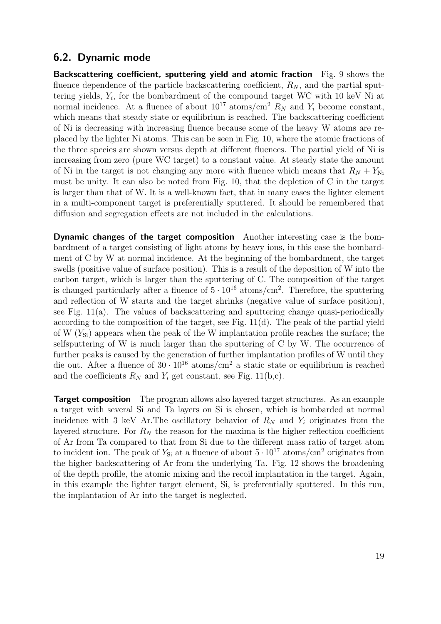### 6.2. Dynamic mode

Backscattering coefficient, sputtering yield and atomic fraction Fig. 9 shows the fluence dependence of the particle backscattering coefficient,  $R_N$ , and the partial sputtering yields,  $Y_i$ , for the bombardment of the compound target WC with 10 keV Ni at normal incidence. At a fluence of about  $10^{17}$  atoms/cm<sup>2</sup>  $R_N$  and  $Y_i$  become constant, which means that steady state or equilibrium is reached. The backscattering coefficient of Ni is decreasing with increasing fluence because some of the heavy W atoms are replaced by the lighter Ni atoms. This can be seen in Fig. 10, where the atomic fractions of the three species are shown versus depth at different fluences. The partial yield of Ni is increasing from zero (pure WC target) to a constant value. At steady state the amount of Ni in the target is not changing any more with fluence which means that  $R_N + Y_{\text{Ni}}$ must be unity. It can also be noted from Fig. 10, that the depletion of C in the target is larger than that of W. It is a well-known fact, that in many cases the lighter element in a multi-component target is preferentially sputtered. It should be remembered that diffusion and segregation effects are not included in the calculations.

Dynamic changes of the target composition Another interesting case is the bombardment of a target consisting of light atoms by heavy ions, in this case the bombardment of C by W at normal incidence. At the beginning of the bombardment, the target swells (positive value of surface position). This is a result of the deposition of W into the carbon target, which is larger than the sputtering of C. The composition of the target is changed particularly after a fluence of  $5 \cdot 10^{16}$  atoms/cm<sup>2</sup>. Therefore, the sputtering and reflection of W starts and the target shrinks (negative value of surface position), see Fig. 11(a). The values of backscattering and sputtering change quasi-periodically according to the composition of the target, see Fig. 11(d). The peak of the partial yield of W  $(Y_{\text{Si}})$  appears when the peak of the W implantation profile reaches the surface; the selfsputtering of W is much larger than the sputtering of C by W. The occurrence of further peaks is caused by the generation of further implantation profiles of W until they die out. After a fluence of  $30 \cdot 10^{16}$  atoms/cm<sup>2</sup> a static state or equilibrium is reached and the coefficients  $R_N$  and  $Y_i$  get constant, see Fig. 11(b,c).

**Target composition** The program allows also layered target structures. As an example a target with several Si and Ta layers on Si is chosen, which is bombarded at normal incidence with 3 keV Ar. The oscillatory behavior of  $R_N$  and  $Y_i$  originates from the layered structure. For  $R_N$  the reason for the maxima is the higher reflection coefficient of Ar from Ta compared to that from Si due to the different mass ratio of target atom to incident ion. The peak of  $Y_{\text{Si}}$  at a fluence of about  $5 \cdot 10^{17}$  atoms/cm<sup>2</sup> originates from the higher backscattering of Ar from the underlying Ta. Fig. 12 shows the broadening of the depth profile, the atomic mixing and the recoil implantation in the target. Again, in this example the lighter target element, Si, is preferentially sputtered. In this run, the implantation of Ar into the target is neglected.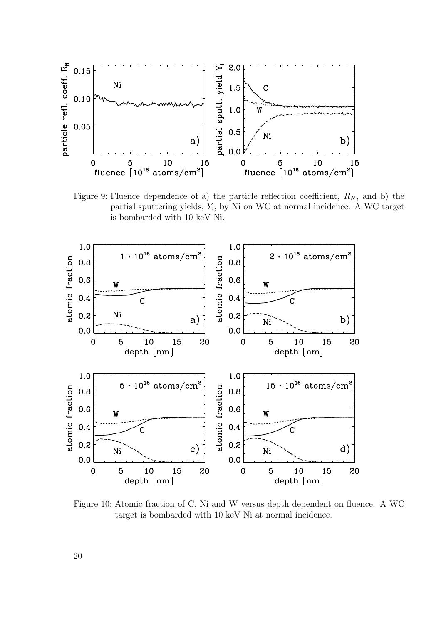

Figure 9: Fluence dependence of a) the particle reflection coefficient,  $R_N$ , and b) the partial sputtering yields,  $Y_i$ , by Ni on WC at normal incidence. A WC target is bombarded with 10 keV Ni.



Figure 10: Atomic fraction of C, Ni and W versus depth dependent on fluence. A WC target is bombarded with 10 keV Ni at normal incidence.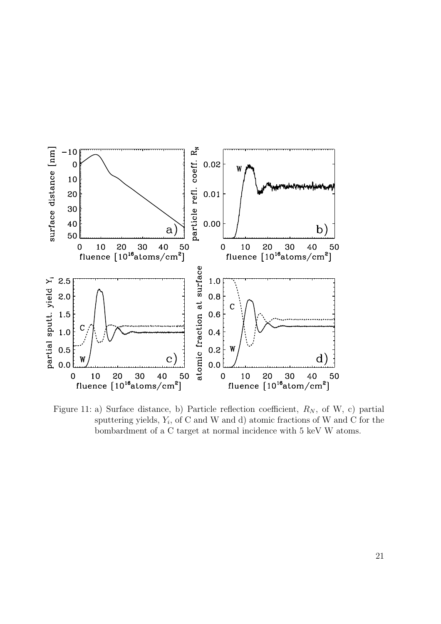

Figure 11: a) Surface distance, b) Particle reflection coefficient,  $R_N$ , of W, c) partial sputtering yields,  $Y_i$ , of C and W and d) atomic fractions of W and C for the bombardment of a C target at normal incidence with 5 keV W atoms.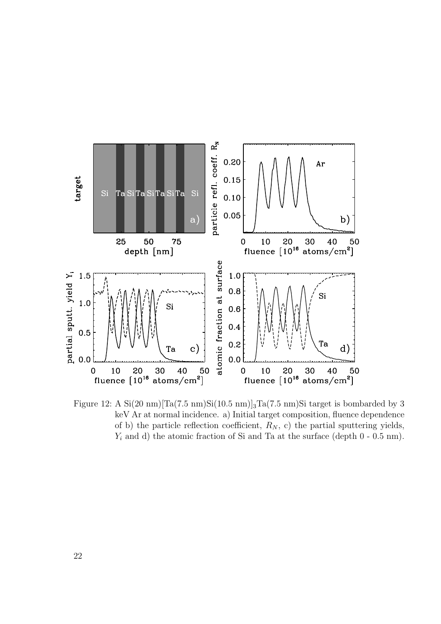

Figure 12: A  $Si(20 \text{ nm})$   $Ta(7.5 \text{ nm})Si(10.5 \text{ nm})$   $Ta(7.5 \text{ nm})Si$  target is bombarded by 3 keV Ar at normal incidence. a) Initial target composition, fluence dependence of b) the particle reflection coefficient,  $R_N$ , c) the partial sputtering yields,  $Y_i$  and d) the atomic fraction of Si and Ta at the surface (depth  $0 - 0.5$  nm).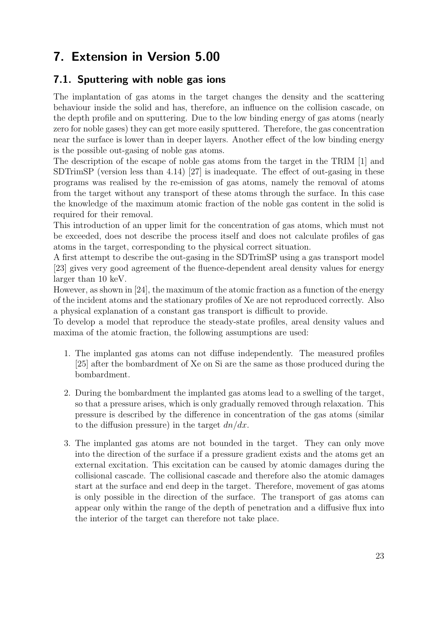# 7. Extension in Version 5.00

## 7.1. Sputtering with noble gas ions

The implantation of gas atoms in the target changes the density and the scattering behaviour inside the solid and has, therefore, an influence on the collision cascade, on the depth profile and on sputtering. Due to the low binding energy of gas atoms (nearly zero for noble gases) they can get more easily sputtered. Therefore, the gas concentration near the surface is lower than in deeper layers. Another effect of the low binding energy is the possible out-gasing of noble gas atoms.

The description of the escape of noble gas atoms from the target in the TRIM [1] and SDTrimSP (version less than 4.14) [27] is inadequate. The effect of out-gasing in these programs was realised by the re-emission of gas atoms, namely the removal of atoms from the target without any transport of these atoms through the surface. In this case the knowledge of the maximum atomic fraction of the noble gas content in the solid is required for their removal.

This introduction of an upper limit for the concentration of gas atoms, which must not be exceeded, does not describe the process itself and does not calculate profiles of gas atoms in the target, corresponding to the physical correct situation.

A first attempt to describe the out-gasing in the SDTrimSP using a gas transport model [23] gives very good agreement of the fluence-dependent areal density values for energy larger than 10 keV.

However, as shown in [24], the maximum of the atomic fraction as a function of the energy of the incident atoms and the stationary profiles of Xe are not reproduced correctly. Also a physical explanation of a constant gas transport is difficult to provide.

To develop a model that reproduce the steady-state profiles, areal density values and maxima of the atomic fraction, the following assumptions are used:

- 1. The implanted gas atoms can not diffuse independently. The measured profiles [25] after the bombardment of Xe on Si are the same as those produced during the bombardment.
- 2. During the bombardment the implanted gas atoms lead to a swelling of the target, so that a pressure arises, which is only gradually removed through relaxation. This pressure is described by the difference in concentration of the gas atoms (similar to the diffusion pressure) in the target  $dn/dx$ .
- 3. The implanted gas atoms are not bounded in the target. They can only move into the direction of the surface if a pressure gradient exists and the atoms get an external excitation. This excitation can be caused by atomic damages during the collisional cascade. The collisional cascade and therefore also the atomic damages start at the surface and end deep in the target. Therefore, movement of gas atoms is only possible in the direction of the surface. The transport of gas atoms can appear only within the range of the depth of penetration and a diffusive flux into the interior of the target can therefore not take place.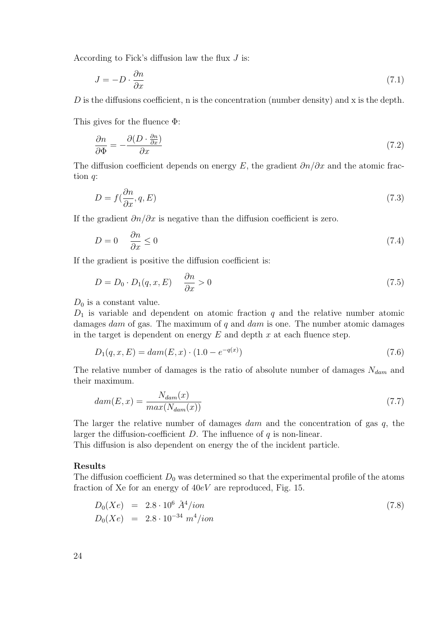According to Fick's diffusion law the flux J is:

$$
J = -D \cdot \frac{\partial n}{\partial x} \tag{7.1}
$$

D is the diffusions coefficient, n is the concentration (number density) and x is the depth.

This gives for the fluence Φ:

$$
\frac{\partial n}{\partial \Phi} = -\frac{\partial (D \cdot \frac{\partial n}{\partial x})}{\partial x} \tag{7.2}
$$

The diffusion coefficient depends on energy E, the gradient  $\partial n/\partial x$  and the atomic fraction q:

$$
D = f(\frac{\partial n}{\partial x}, q, E) \tag{7.3}
$$

If the gradient  $\partial n/\partial x$  is negative than the diffusion coefficient is zero.

$$
D = 0 \quad \frac{\partial n}{\partial x} \le 0 \tag{7.4}
$$

If the gradient is positive the diffusion coefficient is:

$$
D = D_0 \cdot D_1(q, x, E) \quad \frac{\partial n}{\partial x} > 0 \tag{7.5}
$$

 $D_0$  is a constant value.

 $D_1$  is variable and dependent on atomic fraction q and the relative number atomic damages dam of gas. The maximum of q and dam is one. The number atomic damages in the target is dependent on energy  $E$  and depth  $x$  at each fluence step.

$$
D_1(q, x, E) = \text{dam}(E, x) \cdot (1.0 - e^{-q(x)}) \tag{7.6}
$$

The relative number of damages is the ratio of absolute number of damages  $N_{dam}$  and their maximum.

$$
dam(E, x) = \frac{N_{dam}(x)}{max(N_{dam}(x))}
$$
\n
$$
(7.7)
$$

The larger the relative number of damages dam and the concentration of gas q, the larger the diffusion-coefficient  $D$ . The influence of  $q$  is non-linear.

This diffusion is also dependent on energy the of the incident particle.

#### Results

The diffusion coefficient  $D_0$  was determined so that the experimental profile of the atoms fraction of Xe for an energy of 40eV are reproduced, Fig. 15.

$$
D_0(Xe) = 2.8 \cdot 10^6 \stackrel{\circ}{A}^4 / ion \nD_0(Xe) = 2.8 \cdot 10^{-34} m^4 / ion
$$
\n(7.8)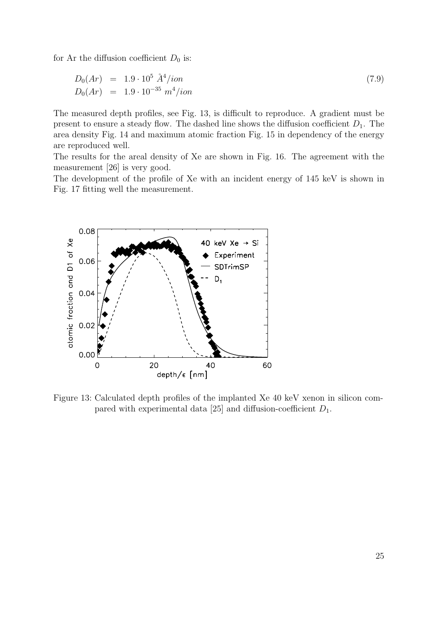for Ar the diffusion coefficient  $D_0$  is:

$$
D_0(Ar) = 1.9 \cdot 10^5 \stackrel{\circ}{A}^4 \text{/ion}
$$
  
\n
$$
D_0(Ar) = 1.9 \cdot 10^{-35} \, m^4 \text{/ion}
$$
\n(7.9)

The measured depth profiles, see Fig. 13, is difficult to reproduce. A gradient must be present to ensure a steady flow. The dashed line shows the diffusion coefficient  $D_1$ . The area density Fig. 14 and maximum atomic fraction Fig. 15 in dependency of the energy are reproduced well.

The results for the areal density of Xe are shown in Fig. 16. The agreement with the measurement [26] is very good.

The development of the profile of Xe with an incident energy of 145 keV is shown in Fig. 17 fitting well the measurement.



Figure 13: Calculated depth profiles of the implanted Xe 40 keV xenon in silicon compared with experimental data [25] and diffusion-coefficient  $D_1$ .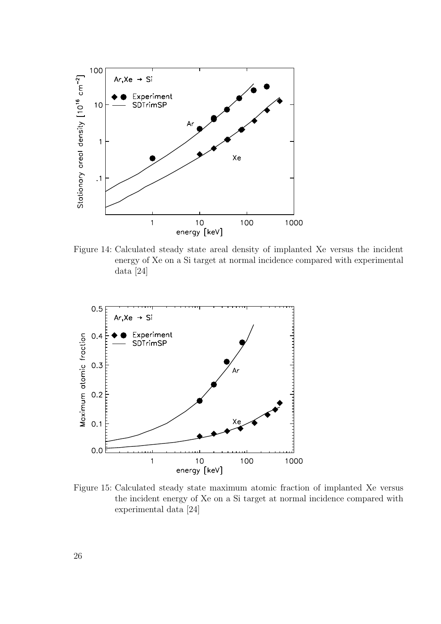

Figure 14: Calculated steady state areal density of implanted Xe versus the incident energy of Xe on a Si target at normal incidence compared with experimental data [24]



Figure 15: Calculated steady state maximum atomic fraction of implanted Xe versus the incident energy of Xe on a Si target at normal incidence compared with experimental data [24]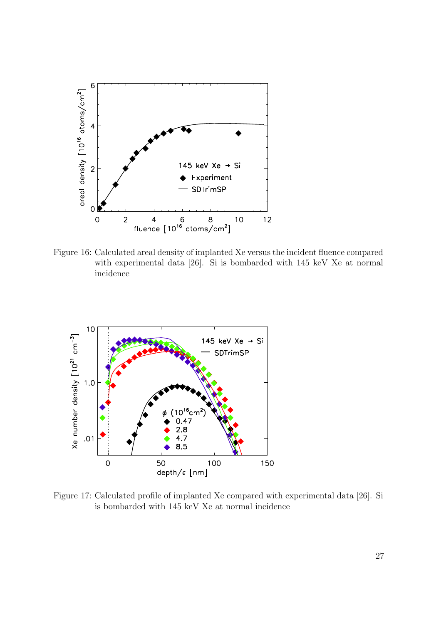

Figure 16: Calculated areal density of implanted Xe versus the incident fluence compared with experimental data [26]. Si is bombarded with 145 keV Xe at normal incidence



Figure 17: Calculated profile of implanted Xe compared with experimental data [26]. Si is bombarded with 145 keV Xe at normal incidence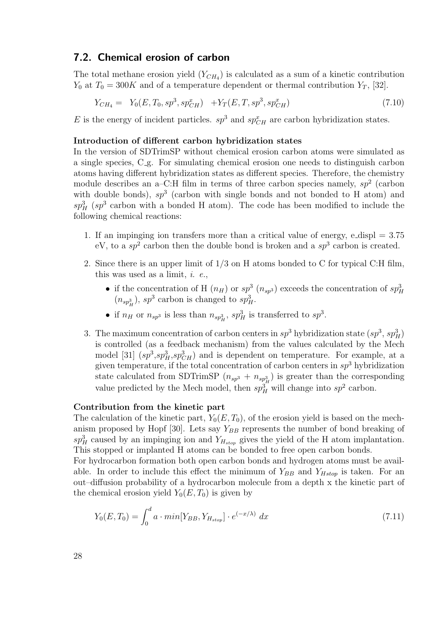#### 7.2. Chemical erosion of carbon

The total methane erosion yield  $(Y_{CH_4})$  is calculated as a sum of a kinetic contribution  $Y_0$  at  $T_0 = 300K$  and of a temperature dependent or thermal contribution  $Y_T$ , [32].

$$
Y_{CH_4} = Y_0(E, T_0, sp^3, sp^x_{CH}) + Y_T(E, T, sp^3, sp^x_{CH})
$$
\n(7.10)

E is the energy of incident particles.  $sp^3$  and  $sp^x_{CH}$  are carbon hybridization states.

#### Introduction of different carbon hybridization states

In the version of SDTrimSP without chemical erosion carbon atoms were simulated as a single species, C g. For simulating chemical erosion one needs to distinguish carbon atoms having different hybridization states as different species. Therefore, the chemistry module describes an a-C:H film in terms of three carbon species namely,  $sp^2$  (carbon with double bonds),  $sp^3$  (carbon with single bonds and not bonded to H atom) and  $sp_H^3$  (sp<sup>3</sup> carbon with a bonded H atom). The code has been modified to include the following chemical reactions:

- 1. If an impinging ion transfers more than a critical value of energy, e-displ  $= 3.75$ eV, to a  $sp^2$  carbon then the double bond is broken and a  $sp^3$  carbon is created.
- 2. Since there is an upper limit of 1/3 on H atoms bonded to C for typical C:H film, this was used as a limit,  $i.$   $e.$ 
	- if the concentration of H  $(n_H)$  or  $sp^3$   $(n_{sp^3})$  exceeds the concentration of  $sp^3_H$  $(n_{sp_H^3})$ ,  $sp^3$  carbon is changed to  $sp_H^3$ .
	- if  $n_H$  or  $n_{sp^3}$  is less than  $n_{sp^3_H}$ ,  $sp^3_H$  is transferred to  $sp^3$ .
- 3. The maximum concentration of carbon centers in  $sp^3$  hybridization state  $(sp^3, sp_H^3)$ is controlled (as a feedback mechanism) from the values calculated by the Mech model [31]  $(sp^3, sp_H^3, sp_{CH}^3)$  and is dependent on temperature. For example, at a given temperature, if the total concentration of carbon centers in  $sp^3$  hybridization state calculated from SDTrimSP  $(n_{sp^3} + n_{sp^3_H})$  is greater than the corresponding value predicted by the Mech model, then  $sp_H^3$  will change into  $sp^2$  carbon.

#### Contribution from the kinetic part

The calculation of the kinetic part,  $Y_0(E, T_0)$ , of the erosion yield is based on the mechanism proposed by Hopf [30]. Lets say  $Y_{BB}$  represents the number of bond breaking of  $sp_H^3$  caused by an impinging ion and  $Y_{H_{stop}}$  gives the yield of the H atom implantation. This stopped or implanted H atoms can be bonded to free open carbon bonds.

For hydrocarbon formation both open carbon bonds and hydrogen atoms must be available. In order to include this effect the minimum of  $Y_{BB}$  and  $Y_{Hstop}$  is taken. For an out–diffusion probability of a hydrocarbon molecule from a depth x the kinetic part of the chemical erosion yield  $Y_0(E, T_0)$  is given by

$$
Y_0(E, T_0) = \int_0^d a \cdot min[Y_{BB}, Y_{H_{stop}}] \cdot e^{(-x/\lambda)} dx \tag{7.11}
$$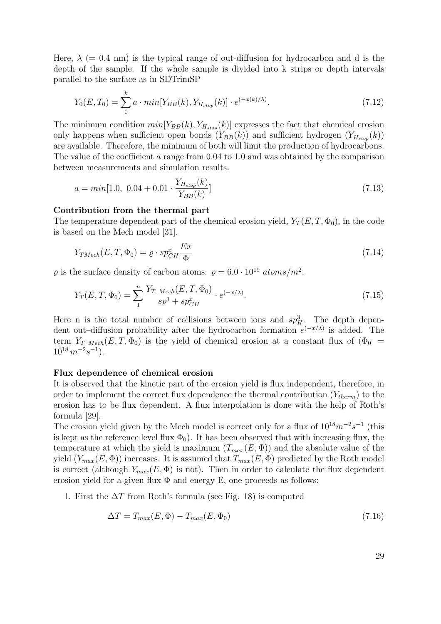Here,  $\lambda$  (= 0.4 nm) is the typical range of out-diffusion for hydrocarbon and d is the depth of the sample. If the whole sample is divided into k strips or depth intervals parallel to the surface as in SDTrimSP

$$
Y_0(E, T_0) = \sum_{0}^{k} a \cdot min[Y_{BB}(k), Y_{H_{stop}}(k)] \cdot e^{(-x(k)/\lambda)}.
$$
 (7.12)

The minimum condition  $min[Y_{BB}(k), Y_{H_{stop}}(k)]$  expresses the fact that chemical erosion only happens when sufficient open bonds  $(Y_{BB}(k))$  and sufficient hydrogen  $(Y_{H<sub>stop</sub>}}(k))$ are available. Therefore, the minimum of both will limit the production of hydrocarbons. The value of the coefficient a range from 0.04 to 1.0 and was obtained by the comparison between measurements and simulation results.

$$
a = min[1.0, 0.04 + 0.01 \cdot \frac{Y_{H_{stop}}(k)}{Y_{BB}(k)}]
$$
\n(7.13)

#### Contribution from the thermal part

The temperature dependent part of the chemical erosion yield,  $Y_T(E,T,\Phi_0)$ , in the code is based on the Mech model [31].

$$
Y_{TMech}(E, T, \Phi_0) = \varrho \cdot sp_{CH}^x \frac{Ex}{\Phi}
$$
\n(7.14)

 $\rho$  is the surface density of carbon atoms:  $\rho = 6.0 \cdot 10^{19} \text{ atoms/m}^2$ .

$$
Y_T(E, T, \Phi_0) = \sum_{1}^{n} \frac{Y_{T\_Mech}(E, T, \Phi_0)}{sp^3 + sp_{CH}^x} \cdot e^{(-x/\lambda)}.
$$
\n(7.15)

Here n is the total number of collisions between ions and  $sp_H^3$ . The depth dependent out–diffusion probability after the hydrocarbon formation  $e^{(-x/\lambda)}$  is added. The term  $Y_{T\_Mech}(E, T, \Phi_0)$  is the yield of chemical erosion at a constant flux of  $(\Phi_0 =$  $10^{18} \, m^{-2} s^{-1}$ ).

#### Flux dependence of chemical erosion

It is observed that the kinetic part of the erosion yield is flux independent, therefore, in order to implement the correct flux dependence the thermal contribution  $(Y_{therm})$  to the erosion has to be flux dependent. A flux interpolation is done with the help of Roth's formula [29].

The erosion yield given by the Mech model is correct only for a flux of  $10^{18}m^{-2}s^{-1}$  (this is kept as the reference level flux  $\Phi_0$ ). It has been observed that with increasing flux, the temperature at which the yield is maximum  $(T_{max}(E, \Phi))$  and the absolute value of the yield  $(Y_{max}(E, \Phi))$  increases. It is assumed that  $T_{max}(E, \Phi)$  predicted by the Roth model is correct (although  $Y_{max}(E, \Phi)$  is not). Then in order to calculate the flux dependent erosion yield for a given flux  $\Phi$  and energy E, one proceeds as follows:

1. First the  $\Delta T$  from Roth's formula (see Fig. 18) is computed

$$
\Delta T = T_{max}(E, \Phi) - T_{max}(E, \Phi_0) \tag{7.16}
$$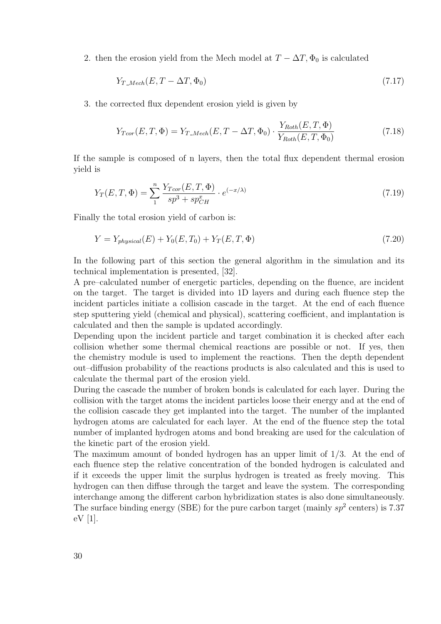2. then the erosion yield from the Mech model at  $T - \Delta T$ ,  $\Phi_0$  is calculated

$$
Y_{T\_Mech}(E, T - \Delta T, \Phi_0) \tag{7.17}
$$

3. the corrected flux dependent erosion yield is given by

$$
Y_{Tcor}(E,T,\Phi) = Y_{T\_Mech}(E,T - \Delta T, \Phi_0) \cdot \frac{Y_{Roth}(E,T,\Phi)}{Y_{Roth}(E,T,\Phi_0)}
$$
(7.18)

If the sample is composed of n layers, then the total flux dependent thermal erosion yield is

$$
Y_T(E, T, \Phi) = \sum_{1}^{n} \frac{Y_{Tcor}(E, T, \Phi)}{sp^3 + sp_{CH}^x} \cdot e^{(-x/\lambda)}
$$
(7.19)

Finally the total erosion yield of carbon is:

$$
Y = Y_{physical}(E) + Y_0(E, T_0) + Y_T(E, T, \Phi)
$$
\n(7.20)

In the following part of this section the general algorithm in the simulation and its technical implementation is presented, [32].

A pre–calculated number of energetic particles, depending on the fluence, are incident on the target. The target is divided into 1D layers and during each fluence step the incident particles initiate a collision cascade in the target. At the end of each fluence step sputtering yield (chemical and physical), scattering coefficient, and implantation is calculated and then the sample is updated accordingly.

Depending upon the incident particle and target combination it is checked after each collision whether some thermal chemical reactions are possible or not. If yes, then the chemistry module is used to implement the reactions. Then the depth dependent out–diffusion probability of the reactions products is also calculated and this is used to calculate the thermal part of the erosion yield.

During the cascade the number of broken bonds is calculated for each layer. During the collision with the target atoms the incident particles loose their energy and at the end of the collision cascade they get implanted into the target. The number of the implanted hydrogen atoms are calculated for each layer. At the end of the fluence step the total number of implanted hydrogen atoms and bond breaking are used for the calculation of the kinetic part of the erosion yield.

The maximum amount of bonded hydrogen has an upper limit of 1/3. At the end of each fluence step the relative concentration of the bonded hydrogen is calculated and if it exceeds the upper limit the surplus hydrogen is treated as freely moving. This hydrogen can then diffuse through the target and leave the system. The corresponding interchange among the different carbon hybridization states is also done simultaneously. The surface binding energy (SBE) for the pure carbon target (mainly  $sp^2$  centers) is 7.37 eV [1].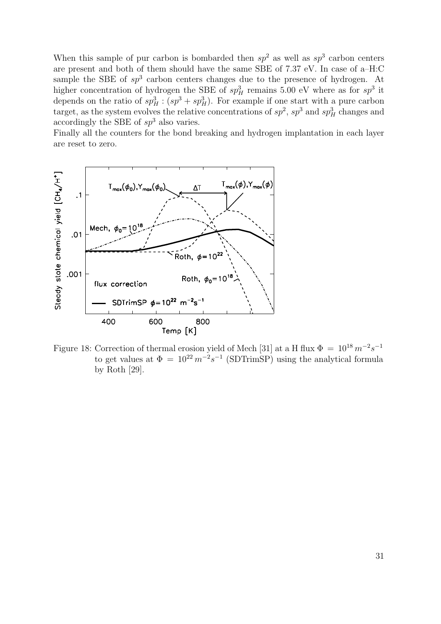When this sample of pur carbon is bombarded then  $sp^2$  as well as  $sp^3$  carbon centers are present and both of them should have the same SBE of 7.37 eV. In case of a–H:C sample the SBE of  $sp^3$  carbon centers changes due to the presence of hydrogen. At higher concentration of hydrogen the SBE of  $sp_H^3$  remains 5.00 eV where as for  $sp^3$  it depends on the ratio of  $sp_H^3$  :  $(sp^3 + sp_H^3)$ . For example if one start with a pure carbon target, as the system evolves the relative concentrations of  $sp^2$ ,  $sp^3$  and  $sp^3$  changes and accordingly the SBE of  $sp^3$  also varies.

Finally all the counters for the bond breaking and hydrogen implantation in each layer are reset to zero.



Figure 18: Correction of thermal erosion yield of Mech [31] at a H flux  $\Phi = 10^{18} m^{-2}s^{-1}$ to get values at  $\Phi = 10^{22} m^{-2} s^{-1}$  (SDTrimSP) using the analytical formula by Roth [29].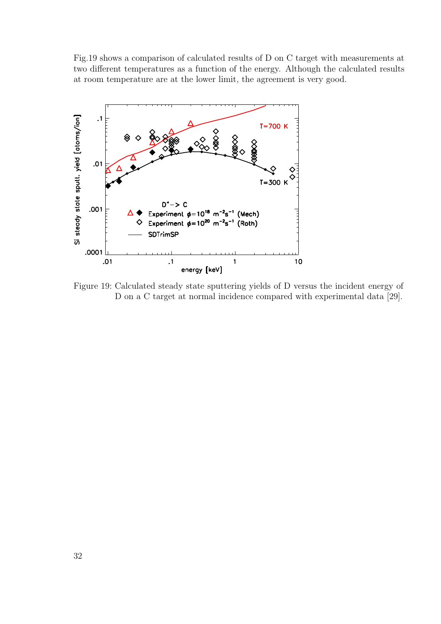Fig.19 shows a comparison of calculated results of D on C target with measurements at two different temperatures as a function of the energy. Although the calculated results at room temperature are at the lower limit, the agreement is very good.



Figure 19: Calculated steady state sputtering yields of D versus the incident energy of D on a C target at normal incidence compared with experimental data [29].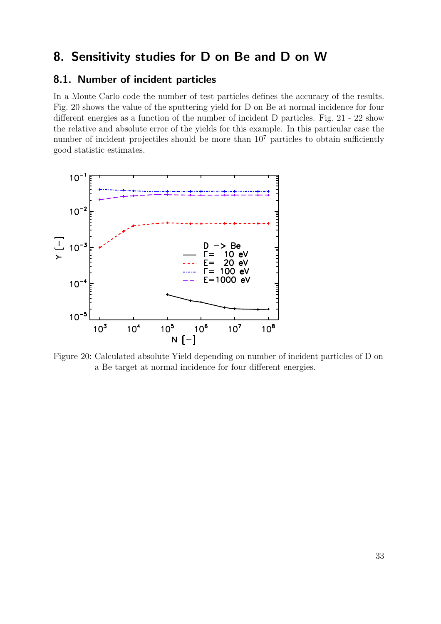## 8. Sensitivity studies for D on Be and D on W

### 8.1. Number of incident particles

In a Monte Carlo code the number of test particles defines the accuracy of the results. Fig. 20 shows the value of the sputtering yield for D on Be at normal incidence for four different energies as a function of the number of incident D particles. Fig. 21 - 22 show the relative and absolute error of the yields for this example. In this particular case the number of incident projectiles should be more than  $10<sup>7</sup>$  particles to obtain sufficiently good statistic estimates.



Figure 20: Calculated absolute Yield depending on number of incident particles of D on a Be target at normal incidence for four different energies.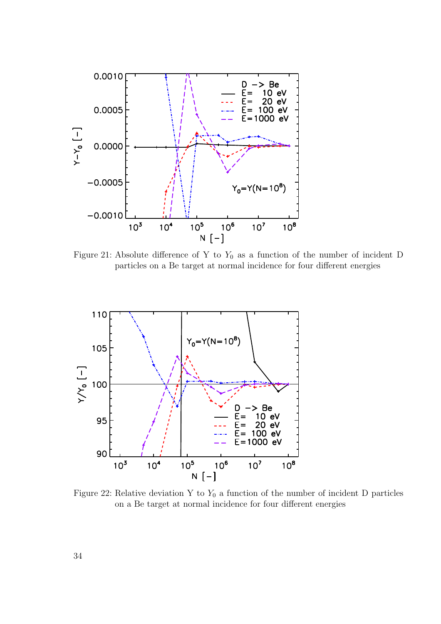

Figure 21: Absolute difference of Y to  $Y_0$  as a function of the number of incident D particles on a Be target at normal incidence for four different energies



Figure 22: Relative deviation Y to  $Y_0$  a function of the number of incident D particles on a Be target at normal incidence for four different energies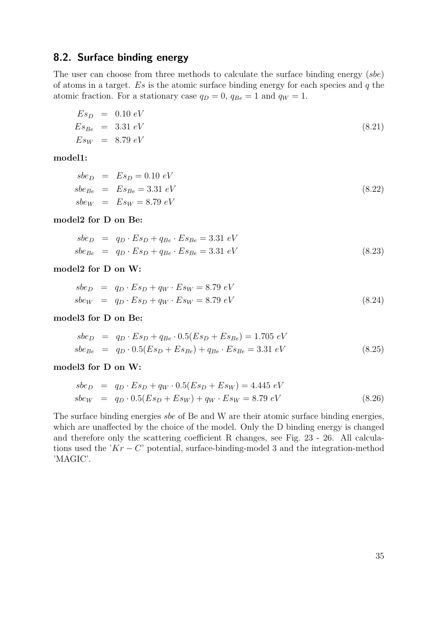### 8.2. Surface binding energy

The user can choose from three methods to calculate the surface binding energy (sbe) of atoms in a target.  $Es$  is the atomic surface binding energy for each species and q the atomic fraction. For a stationary case  $q_D = 0$ ,  $q_{Be} = 1$  and  $q_W = 1$ .

$$
E s_D = 0.10 \text{ eV}
$$
  
\n
$$
E s_{Be} = 3.31 \text{ eV}
$$
  
\n
$$
E s_W = 8.79 \text{ eV}
$$
\n(8.21)

model1:

$$
sbeD = EsD = 0.10 eV
$$
  
\n
$$
sbeBe = EsBe = 3.31 eV
$$
  
\n
$$
sbeW = EsW = 8.79 eV
$$
\n(8.22)

model2 for D on Be:

$$
sbe_D = q_D \cdot Es_D + q_{Be} \cdot Es_{Be} = 3.31 \text{ eV}
$$
  
\n
$$
sbe_{Be} = q_D \cdot Es_D + q_{Be} \cdot Es_{Be} = 3.31 \text{ eV}
$$
 (8.23)

model2 for D on W:

$$
sbeD = qD \cdot EsD + qW \cdot EsW = 8.79 eV
$$
  
\n
$$
sbeW = qD \cdot EsD + qW \cdot EsW = 8.79 eV
$$
\n(8.24)

model3 for D on Be:

$$
sbe_D = q_D \cdot Es_D + q_{Be} \cdot 0.5(Es_D + Es_{Be}) = 1.705 \text{ eV}
$$
  
\n
$$
sbe_{Be} = q_D \cdot 0.5(Es_D + Es_{Be}) + q_{Be} \cdot Es_{Be} = 3.31 \text{ eV}
$$
 (8.25)

model3 for D on W:

$$
sbe_D = q_D \cdot Es_D + q_W \cdot 0.5(Es_D + Es_W) = 4.445 \text{ eV}
$$
  
\n
$$
sbe_W = q_D \cdot 0.5(Es_D + Es_W) + q_W \cdot Es_W = 8.79 \text{ eV}
$$
\n(8.26)

The surface binding energies sbe of Be and W are their atomic surface binding energies, which are unaffected by the choice of the model. Only the D binding energy is changed and therefore only the scattering coefficient R changes, see Fig. 23 - 26. All calculations used the  $'Kr - C'$  potential, surface-binding-model 3 and the integration-method 'MAGIC'.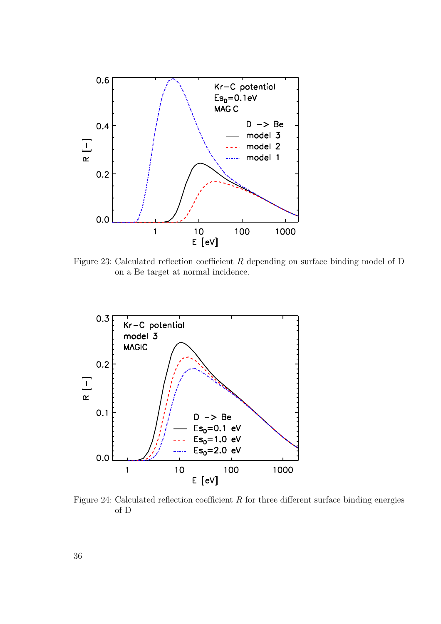

Figure 23: Calculated reflection coefficient R depending on surface binding model of D on a Be target at normal incidence.



Figure 24: Calculated reflection coefficient  $R$  for three different surface binding energies of D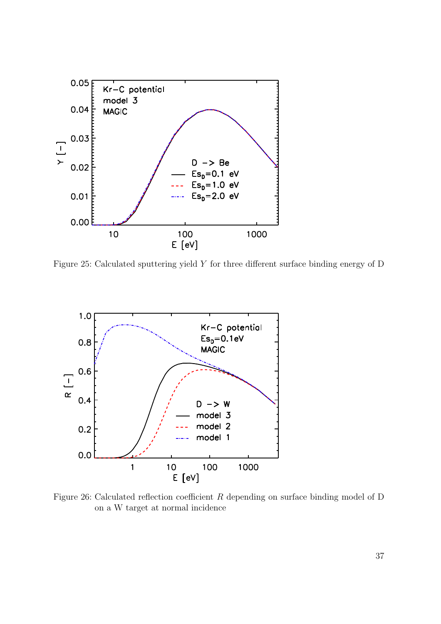

Figure 25: Calculated sputtering yield Y for three different surface binding energy of D



Figure 26: Calculated reflection coefficient R depending on surface binding model of D on a W target at normal incidence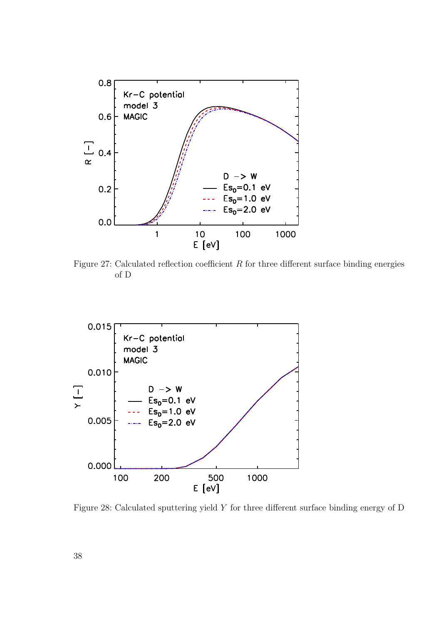

Figure 27: Calculated reflection coefficient  $R$  for three different surface binding energies of D



Figure 28: Calculated sputtering yield Y for three different surface binding energy of D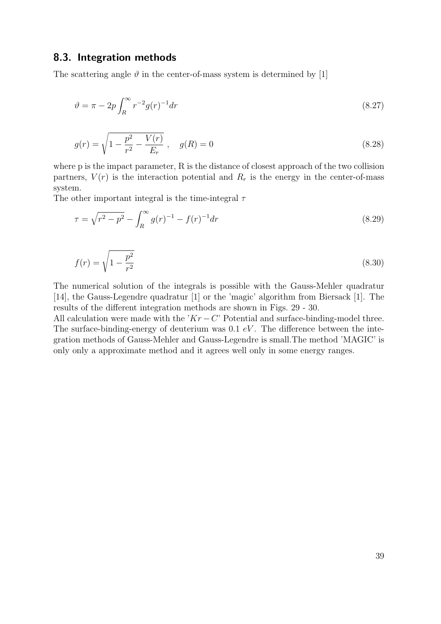#### 8.3. Integration methods

The scattering angle  $\vartheta$  in the center-of-mass system is determined by [1]

$$
\vartheta = \pi - 2p \int_{R}^{\infty} r^{-2} g(r)^{-1} dr \tag{8.27}
$$

$$
g(r) = \sqrt{1 - \frac{p^2}{r^2} - \frac{V(r)}{E_r}}, \quad g(R) = 0
$$
\n(8.28)

where p is the impact parameter, R is the distance of closest approach of the two collision partners,  $V(r)$  is the interaction potential and  $R_r$  is the energy in the center-of-mass system.

The other important integral is the time-integral  $\tau$ 

$$
\tau = \sqrt{r^2 - p^2} - \int_R^{\infty} g(r)^{-1} - f(r)^{-1} dr \tag{8.29}
$$

$$
f(r) = \sqrt{1 - \frac{p^2}{r^2}}\tag{8.30}
$$

The numerical solution of the integrals is possible with the Gauss-Mehler quadratur [14], the Gauss-Legendre quadratur [1] or the 'magic' algorithm from Biersack [1]. The results of the different integration methods are shown in Figs. 29 - 30.

All calculation were made with the ' $Kr - C$ ' Potential and surface-binding-model three. The surface-binding-energy of deuterium was  $0.1 eV$ . The difference between the integration methods of Gauss-Mehler and Gauss-Legendre is small.The method 'MAGIC' is only only a approximate method and it agrees well only in some energy ranges.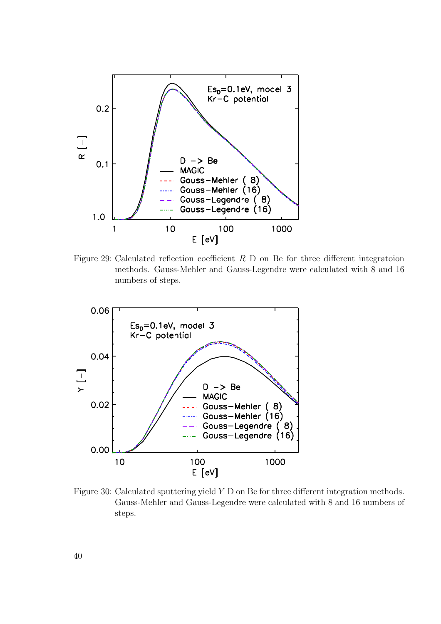

Figure 29: Calculated reflection coefficient  $R$  D on Be for three different integratoion methods. Gauss-Mehler and Gauss-Legendre were calculated with 8 and 16 numbers of steps.



Figure 30: Calculated sputtering yield Y D on Be for three different integration methods. Gauss-Mehler and Gauss-Legendre were calculated with 8 and 16 numbers of steps.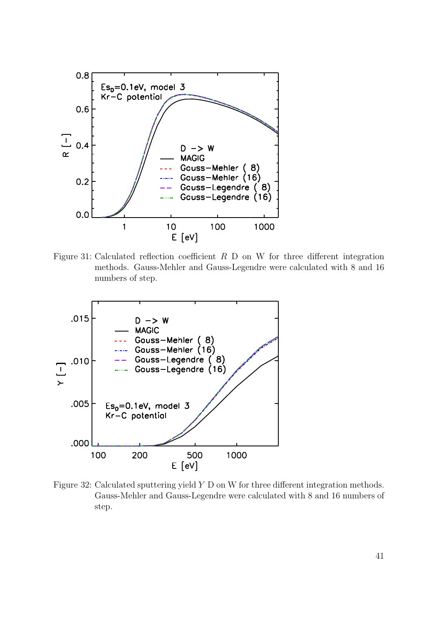

Figure 31: Calculated reflection coefficient  $R$  D on W for three different integration methods. Gauss-Mehler and Gauss-Legendre were calculated with 8 and 16 numbers of step.



Figure 32: Calculated sputtering yield Y D on W for three different integration methods. Gauss-Mehler and Gauss-Legendre were calculated with 8 and 16 numbers of step.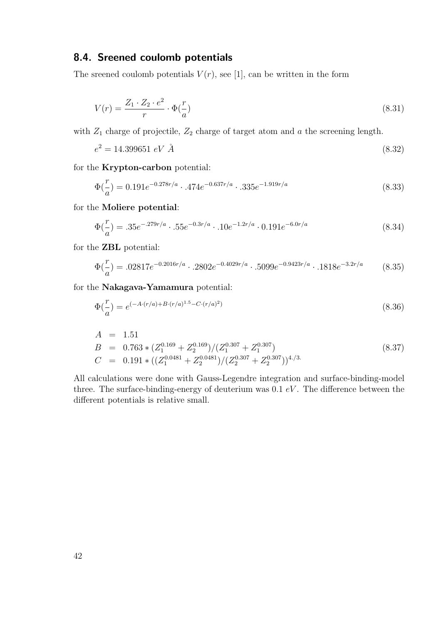### 8.4. Sreened coulomb potentials

The sreened coulomb potentials  $V(r)$ , see [1], can be written in the form

$$
V(r) = \frac{Z_1 \cdot Z_2 \cdot e^2}{r} \cdot \Phi(\frac{r}{a})
$$
\n(8.31)

with  $Z_1$  charge of projectile,  $Z_2$  charge of target atom and a the screening length.

$$
e^2 = 14.399651 \, eV \, \AA \tag{8.32}
$$

for the Krypton-carbon potential:

$$
\Phi(\frac{r}{a}) = 0.191e^{-0.278r/a} \cdot .474e^{-0.637r/a} \cdot .335e^{-1.919r/a}
$$
\n(8.33)

for the Moliere potential:

$$
\Phi(\frac{r}{a}) = .35e^{-.279r/a} \cdot .55e^{-0.3r/a} \cdot .10e^{-1.2r/a} \cdot 0.191e^{-6.0r/a} \tag{8.34}
$$

for the ZBL potential:

$$
\Phi(\frac{r}{a}) = .02817e^{-0.2016r/a} \cdot .2802e^{-0.4029r/a} \cdot .5099e^{-0.9423r/a} \cdot .1818e^{-3.2r/a} \tag{8.35}
$$

for the Nakagava-Yamamura potential:

$$
\Phi(\frac{r}{a}) = e^{(-A \cdot (r/a) + B \cdot (r/a)^{1.5} - C \cdot (r/a)^{2})}
$$
\n(8.36)

$$
A = 1.51
$$
  
\n
$$
B = 0.763 * (Z_1^{0.169} + Z_2^{0.169})/(Z_1^{0.307} + Z_1^{0.307})
$$
  
\n
$$
C = 0.191 * ((Z_1^{0.0481} + Z_2^{0.0481})/(Z_2^{0.307} + Z_2^{0.307}))^{4./3}.
$$
\n(8.37)

All calculations were done with Gauss-Legendre integration and surface-binding-model three. The surface-binding-energy of deuterium was  $0.1 eV$ . The difference between the different potentials is relative small.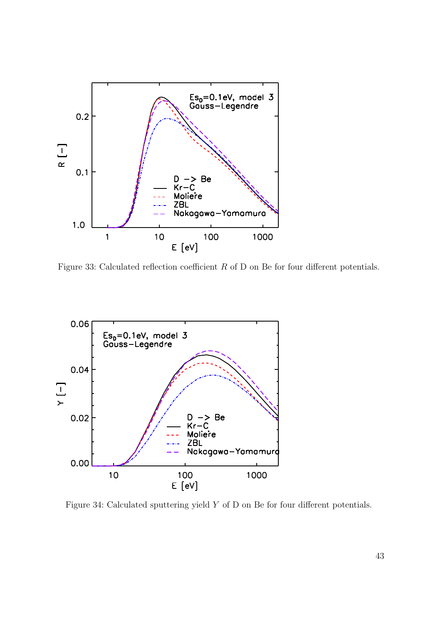

Figure 33: Calculated reflection coefficient  $R$  of D on Be for four different potentials.



Figure 34: Calculated sputtering yield Y of D on Be for four different potentials.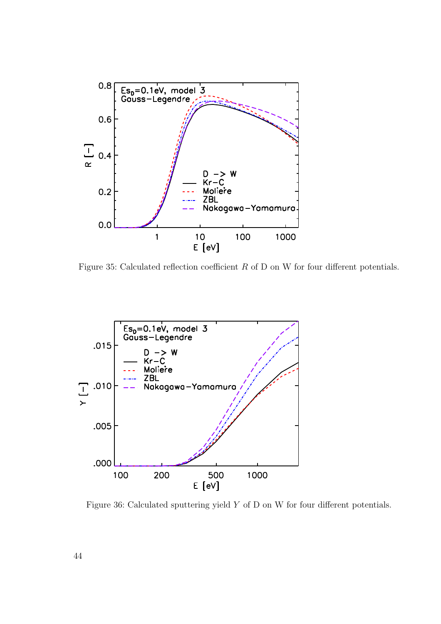

Figure 35: Calculated reflection coefficient  $R$  of D on W for four different potentials.



Figure 36: Calculated sputtering yield Y of D on W for four different potentials.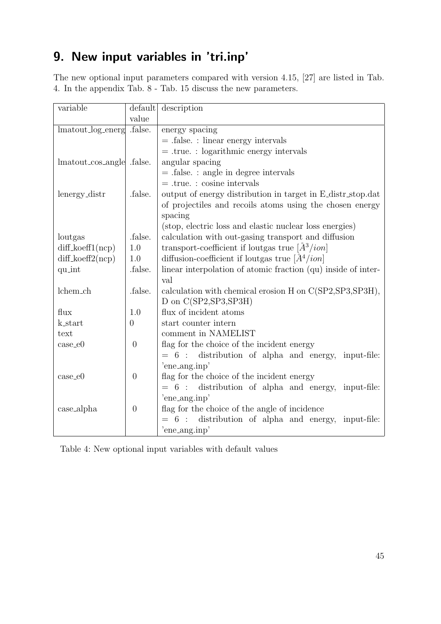# 9. New input variables in 'tri.inp'

The new optional input parameters compared with version 4.15, [27] are listed in Tab. 4. In the appendix Tab. 8 - Tab. 15 discuss the new parameters.

| variable                  | default        | description                                                          |
|---------------------------|----------------|----------------------------------------------------------------------|
|                           | value          |                                                                      |
| lmatout_log_energ .false. |                | energy spacing                                                       |
|                           |                | $=$ .false. : linear energy intervals                                |
|                           |                | $=$ .true.: logarithmic energy intervals                             |
| lmatout_cos_angle .false. |                | angular spacing                                                      |
|                           |                | $=$ false. : angle in degree intervals                               |
|                           |                | $=$ true.: cosine intervals                                          |
| lenergy_distr             | .false.        | output of energy distribution in target in E_distr_stop.dat          |
|                           |                | of projectiles and recoils atoms using the chosen energy             |
|                           |                | spacing                                                              |
|                           |                | (stop, electric loss and elastic nuclear loss energies)              |
| loutgas                   | .false.        | calculation with out-gasing transport and diffusion                  |
| $diff\_koeff1(ncp)$       | 1.0            | transport-coefficient if loutgas true $\left[\frac{A^3}{ion}\right]$ |
| $diff\_koeff2(ncp)$       | 1.0            | diffusion-coefficient if loutgas true $\left[\AA^4/ion\right]$       |
| qu_int                    | .false.        | linear interpolation of atomic fraction (qu) inside of inter-        |
|                           |                | val                                                                  |
| lchem_ch                  | .false.        | calculation with chemical erosion H on C(SP2, SP3, SP3H),            |
|                           |                | D on C(SP2, SP3, SP3H)                                               |
| flux                      | 1.0            | flux of incident atoms                                               |
| k_start                   | $\overline{0}$ | start counter intern                                                 |
| text                      |                | comment in NAMELIST                                                  |
| $case_e0$                 | $\overline{0}$ | flag for the choice of the incident energy                           |
|                           |                | $= 6$ : distribution of alpha and energy,<br>input-file:             |
|                           |                | 'ene_ang.inp'                                                        |
| $case_e0$                 | $\theta$       | flag for the choice of the incident energy                           |
|                           |                | $= 6$ : distribution of alpha and energy,<br>input-file:             |
|                           |                | 'ene_ang.inp'                                                        |
| case_alpha                | $\theta$       | flag for the choice of the angle of incidence                        |
|                           |                | distribution of alpha and energy,<br>$= 6$ :<br>input-file:          |
|                           |                | 'ene_ang.inp'                                                        |

Table 4: New optional input variables with default values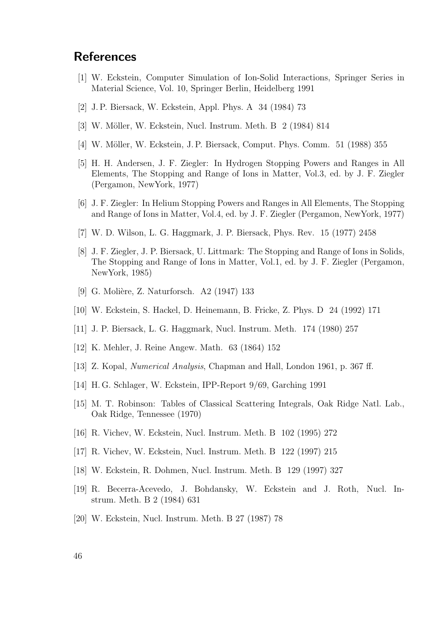## **References**

- [1] W. Eckstein, Computer Simulation of Ion-Solid Interactions, Springer Series in Material Science, Vol. 10, Springer Berlin, Heidelberg 1991
- [2] J. P. Biersack, W. Eckstein, Appl. Phys. A 34 (1984) 73
- [3] W. Möller, W. Eckstein, Nucl. Instrum. Meth. B 2 (1984) 814
- [4] W. Möller, W. Eckstein, J. P. Biersack, Comput. Phys. Comm. 51 (1988) 355
- [5] H. H. Andersen, J. F. Ziegler: In Hydrogen Stopping Powers and Ranges in All Elements, The Stopping and Range of Ions in Matter, Vol.3, ed. by J. F. Ziegler (Pergamon, NewYork, 1977)
- [6] J. F. Ziegler: In Helium Stopping Powers and Ranges in All Elements, The Stopping and Range of Ions in Matter, Vol.4, ed. by J. F. Ziegler (Pergamon, NewYork, 1977)
- [7] W. D. Wilson, L. G. Haggmark, J. P. Biersack, Phys. Rev. 15 (1977) 2458
- [8] J. F. Ziegler, J. P. Biersack, U. Littmark: The Stopping and Range of Ions in Solids, The Stopping and Range of Ions in Matter, Vol.1, ed. by J. F. Ziegler (Pergamon, NewYork, 1985)
- [9] G. Molière, Z. Naturforsch. A2 (1947) 133
- [10] W. Eckstein, S. Hackel, D. Heinemann, B. Fricke, Z. Phys. D 24 (1992) 171
- [11] J. P. Biersack, L. G. Haggmark, Nucl. Instrum. Meth. 174 (1980) 257
- [12] K. Mehler, J. Reine Angew. Math. 63 (1864) 152
- [13] Z. Kopal, Numerical Analysis, Chapman and Hall, London 1961, p. 367 ff.
- [14] H. G. Schlager, W. Eckstein, IPP-Report 9/69, Garching 1991
- [15] M. T. Robinson: Tables of Classical Scattering Integrals, Oak Ridge Natl. Lab., Oak Ridge, Tennessee (1970)
- [16] R. Vichev, W. Eckstein, Nucl. Instrum. Meth. B 102 (1995) 272
- [17] R. Vichev, W. Eckstein, Nucl. Instrum. Meth. B 122 (1997) 215
- [18] W. Eckstein, R. Dohmen, Nucl. Instrum. Meth. B 129 (1997) 327
- [19] R. Becerra-Acevedo, J. Bohdansky, W. Eckstein and J. Roth, Nucl. Instrum. Meth. B 2 (1984) 631
- [20] W. Eckstein, Nucl. Instrum. Meth. B 27 (1987) 78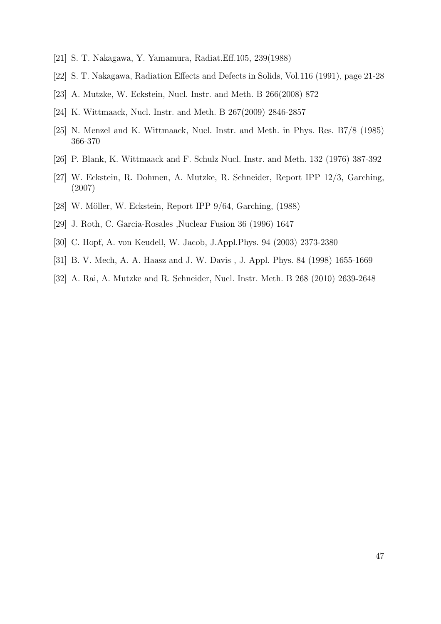- [21] S. T. Nakagawa, Y. Yamamura, Radiat.Eff.105, 239(1988)
- [22] S. T. Nakagawa, Radiation Effects and Defects in Solids, Vol.116 (1991), page 21-28
- [23] A. Mutzke, W. Eckstein, Nucl. Instr. and Meth. B 266(2008) 872
- [24] K. Wittmaack, Nucl. Instr. and Meth. B 267(2009) 2846-2857
- [25] N. Menzel and K. Wittmaack, Nucl. Instr. and Meth. in Phys. Res. B7/8 (1985) 366-370
- [26] P. Blank, K. Wittmaack and F. Schulz Nucl. Instr. and Meth. 132 (1976) 387-392
- [27] W. Eckstein, R. Dohmen, A. Mutzke, R. Schneider, Report IPP 12/3, Garching, (2007)
- [28] W. Möller, W. Eckstein, Report IPP 9/64, Garching, (1988)
- [29] J. Roth, C. Garcia-Rosales ,Nuclear Fusion 36 (1996) 1647
- [30] C. Hopf, A. von Keudell, W. Jacob, J.Appl.Phys. 94 (2003) 2373-2380
- [31] B. V. Mech, A. A. Haasz and J. W. Davis , J. Appl. Phys. 84 (1998) 1655-1669
- [32] A. Rai, A. Mutzke and R. Schneider, Nucl. Instr. Meth. B 268 (2010) 2639-2648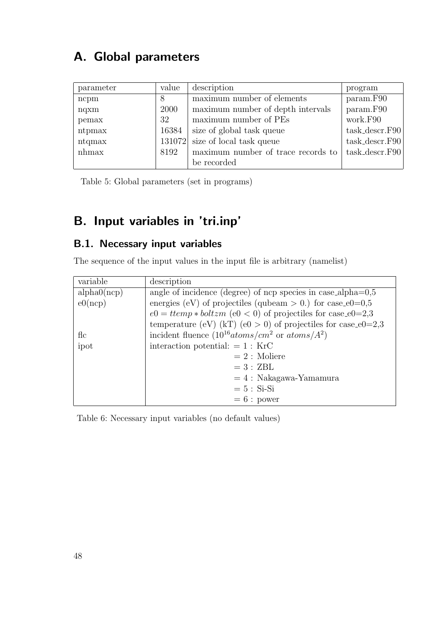# A. Global parameters

| parameter | value  | description                        | program           |
|-----------|--------|------------------------------------|-------------------|
| ncpm      | 8      | maximum number of elements         | param.F90         |
| nqxm      | 2000   | maximum number of depth intervals  | param.F90         |
| pemax     | 32     | maximum number of PEs              | work.F90          |
| ntpmax    | 16384  | size of global task queue          | $task\_descr.F90$ |
| ntqmax    | 131072 | size of local task queue           | $task\_descr.F90$ |
| $n$ hmax  | 8192   | maximum number of trace records to | $task\_descr.F90$ |
|           |        | be recorded                        |                   |

Table 5: Global parameters (set in programs)

# B. Input variables in 'tri.inp'

## B.1. Necessary input variables

The sequence of the input values in the input file is arbitrary (namelist)

| variable    | description                                                     |
|-------------|-----------------------------------------------------------------|
| alpha0(ncp) | angle of incidence (degree) of ncp species in case_alpha= $0.5$ |
| e0(ncp)     | energies (eV) of projectiles (qubeam $> 0$ .) for case_e0=0,5   |
|             | $e0 = ttemp * boltzm$ (e0 < 0) of projectiles for case_e0=2,3   |
|             | temperature (eV) (kT) (e0 > 0) of projectiles for case_e0=2,3   |
| fic         | incident fluence $(10^{16} atoms/cm^2$ or $atoms/A^2)$          |
| ipot        | interaction potential: $= 1 :$ KrC                              |
|             | $= 2$ : Moliere                                                 |
|             | $=3:ZBL$                                                        |
|             | $= 4$ : Nakagawa-Yamamura                                       |
|             | $= 5 : Si-Si$                                                   |
|             | $= 6: power$                                                    |

Table 6: Necessary input variables (no default values)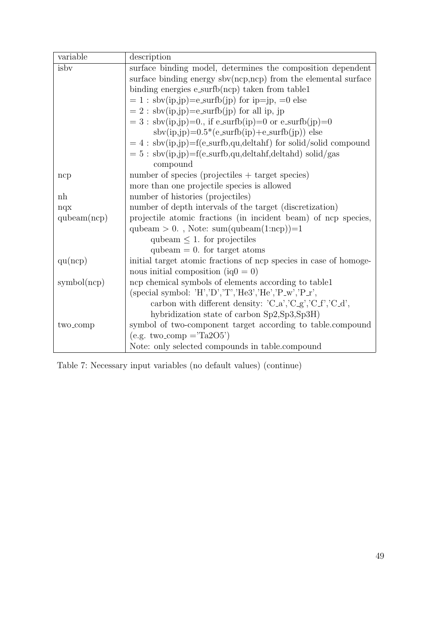| variable             | description                                                       |
|----------------------|-------------------------------------------------------------------|
| isby                 | surface binding model, determines the composition dependent       |
|                      | surface binding energy $sbv(ncp,ncp)$ from the elemental surface  |
|                      | binding energies $e$ -surfb $(ncp)$ taken from table1             |
|                      | $= 1$ : sbv(ip,jp)=e_surfb(jp) for ip=jp, =0 else                 |
|                      | $= 2$ : sbv(ip,jp)=e_surfb(jp) for all ip, jp                     |
|                      | $= 3$ : sbv(ip,jp)=0., if e_surfb(ip)=0 or e_surfb(jp)=0          |
|                      | $sbv(ip,jp)=0.5*(e-surfb(ip)+e-surfb(jp))$ else                   |
|                      | $= 4$ : sbv(ip,jp)=f(e_surfb,qu,deltahf) for solid/solid compound |
|                      | $= 5 : sbv(ip,jp) = f(e\_surfb, qu, deltahf, deltahd) solid/gas$  |
|                      | compound                                                          |
| ncp                  | number of species (projectiles $+$ target species)                |
|                      | more than one projectile species is allowed                       |
| nh                   | number of histories (projectiles)                                 |
| nqx                  | number of depth intervals of the target (discretization)          |
| qubeam(ncp)          | projectile atomic fractions (in incident beam) of ncp species,    |
|                      | qubeam $> 0$ ., Note: sum(qubeam(1:ncp))=1                        |
|                      | qubeam $\leq 1$ . for projectiles                                 |
|                      | qubeam $= 0$ . for target atoms                                   |
| qu(ncp)              | initial target atomic fractions of ncp species in case of homoge- |
|                      | nous initial composition (iq $0 = 0$ )                            |
| symbol(ncp)          | ncp chemical symbols of elements according to table1              |
|                      | (special symbol: $'H', D', T', He3', He', P_w', P_r', P_r'$       |
|                      | carbon with different density: 'C_a','C_g','C_f','C_d',           |
|                      | hybridization state of carbon Sp2, Sp3, Sp3H)                     |
| two <sub>-comp</sub> | symbol of two-component target according to table.compound        |
|                      | $(e.g. two\_comp = Ta2O5')$                                       |
|                      | Note: only selected compounds in table.compound                   |

Table 7: Necessary input variables (no default values) (continue)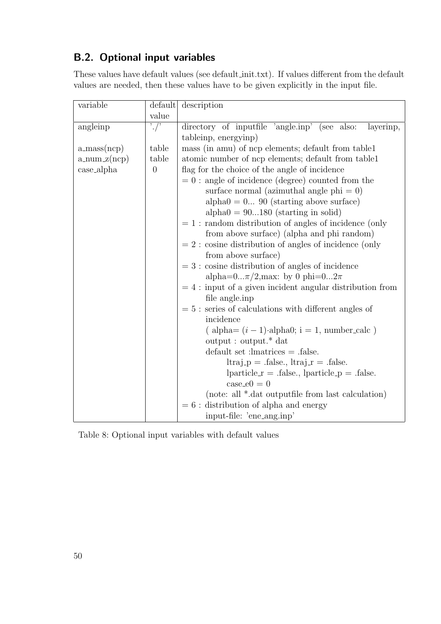## B.2. Optional input variables

These values have default values (see default init.txt). If values different from the default values are needed, then these values have to be given explicitly in the input file.

| variable                       |                              | default description                                                                       |
|--------------------------------|------------------------------|-------------------------------------------------------------------------------------------|
|                                | value                        |                                                                                           |
| angleinp                       | $\cdot$ / $\overline{\cdot}$ | directory of inputfile 'angle.inp' (see also:<br>layerinp,                                |
|                                |                              | tableinp, energyinp)                                                                      |
| $a_{\text{mass}(ncp)}$         | table                        | mass (in amu) of ncp elements; default from table1                                        |
| $a_{\text{num }z(\text{ncp})}$ | table                        | atomic number of ncp elements; default from table1                                        |
| case_alpha                     | $\theta$                     | flag for the choice of the angle of incidence                                             |
|                                |                              | $= 0$ : angle of incidence (degree) counted from the                                      |
|                                |                              | surface normal (azimuthal angle $phi = 0$ )                                               |
|                                |                              | $alpha0 = 0 90$ (starting above surface)                                                  |
|                                |                              | $alpha0 = 90180$ (starting in solid)                                                      |
|                                |                              | $= 1$ : random distribution of angles of incidence (only                                  |
|                                |                              | from above surface) (alpha and phi random)                                                |
|                                |                              | $= 2$ : cosine distribution of angles of incidence (only                                  |
|                                |                              | from above surface)                                                                       |
|                                |                              | $= 3$ : cosine distribution of angles of incidence                                        |
|                                |                              | alpha= $0\pi/2$ , max: by 0 phi= $02\pi$                                                  |
|                                |                              | $= 4$ : input of a given incident angular distribution from                               |
|                                |                              | file angle.inp                                                                            |
|                                |                              | $= 5$ : series of calculations with different angles of                                   |
|                                |                              | incidence                                                                                 |
|                                |                              | $\left( \text{ alpha} = (i - 1) \cdot \text{alpha0}; i = 1, \text{ number\_calc} \right)$ |
|                                |                              | output: output. <sup>*</sup> dat                                                          |
|                                |                              | $default set :lmatrices = .false.$                                                        |
|                                |                              | $ltraj_p =$ false, $ltraj_r =$ false.                                                     |
|                                |                              | $\text{ particle_r} = \text{.false.}, \text{ particle_p} = \text{.false.}$                |
|                                |                              | $case_e0 = 0$                                                                             |
|                                |                              | (note: all *.dat outputfile from last calculation)                                        |
|                                |                              | $= 6$ : distribution of alpha and energy                                                  |
|                                |                              | input-file: 'ene_ang.inp'                                                                 |

Table 8: Optional input variables with default values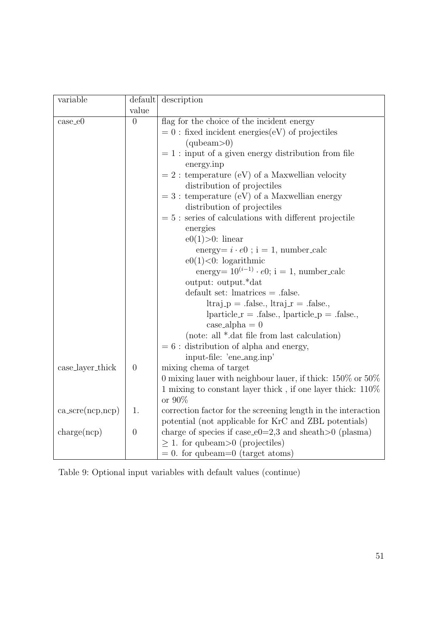| variable                                   |                | default description                                                         |
|--------------------------------------------|----------------|-----------------------------------------------------------------------------|
|                                            | value          |                                                                             |
| $case_e0$                                  | $\overline{0}$ | flag for the choice of the incident energy                                  |
|                                            |                | $= 0$ : fixed incident energies(eV) of projectiles                          |
|                                            |                | (qubeam>0)                                                                  |
|                                            |                | $= 1$ : input of a given energy distribution from file<br>energy.inp        |
|                                            |                | $= 2$ : temperature (eV) of a Maxwellian velocity                           |
|                                            |                | distribution of projectiles                                                 |
|                                            |                | $= 3$ : temperature (eV) of a Maxwellian energy                             |
|                                            |                | distribution of projectiles                                                 |
|                                            |                | $= 5$ : series of calculations with different projectile                    |
|                                            |                | energies                                                                    |
|                                            |                | $e0(1)$ >0: linear                                                          |
|                                            |                | energy= $i \cdot e0$ ; i = 1, number_calc                                   |
|                                            |                | $e0(1) < 0$ : logarithmic                                                   |
|                                            |                | energy= $10^{(i-1)} \cdot e0$ ; i = 1, number_calc                          |
|                                            |                | output: output.*dat                                                         |
|                                            |                | $default set: lmatrices = .false.$                                          |
|                                            |                | $ltraj_p = .false., ltraj_r = .false.,$                                     |
|                                            |                | $\text{ particle_r} = \text{.false.}, \text{ particle_p} = \text{.false.},$ |
|                                            |                | $case_\text{alpha} = 0$                                                     |
|                                            |                | (note: all *.dat file from last calculation)                                |
|                                            |                | $= 6$ : distribution of alpha and energy,                                   |
|                                            |                | input-file: 'ene_ang.inp'                                                   |
| case_layer_thick                           | $\theta$       | mixing chema of target                                                      |
|                                            |                | 0 mixing lauer with neighbour lauer, if thick: $150\%$ or $50\%$            |
|                                            |                | 1 mixing to constant layer thick, if one layer thick: 110%                  |
|                                            |                | or 90%                                                                      |
| $\text{ca\_scre}( \text{ncp}, \text{ncp})$ | 1.             | correction factor for the screening length in the interaction               |
|                                            |                | potential (not applicable for KrC and ZBL potentials)                       |
| charge(ncp)                                | $\theta$       | charge of species if case_e0=2,3 and sheath >0 (plasma)                     |
|                                            |                | $\geq$ 1. for qubeam > 0 (projectiles)                                      |
|                                            |                | $= 0$ . for qubeam=0 (target atoms)                                         |

Table 9: Optional input variables with default values (continue)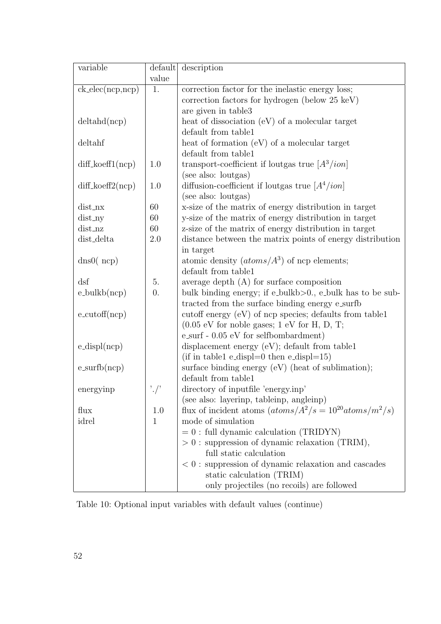| variable                    | default          | description                                                  |
|-----------------------------|------------------|--------------------------------------------------------------|
|                             | value            |                                                              |
| $ck_{\text{elec}}(ncp,ncp)$ | 1.               | correction factor for the inelastic energy loss;             |
|                             |                  | correction factors for hydrogen (below 25 keV)               |
|                             |                  | are given in table3                                          |
| delta(np)                   |                  | heat of dissociation $(eV)$ of a molecular target            |
|                             |                  | default from table1                                          |
| deltahf                     |                  | heat of formation $(eV)$ of a molecular target               |
|                             |                  | default from table1                                          |
| $diff\_koeff1(ncp)$         | 1.0              | transport-coefficient if loutgas true $[A^3/ion]$            |
|                             |                  | (see also: loutgas)                                          |
| $diff\_koeff2(ncp)$         | 1.0              | diffusion-coefficient if loutgas true $[A^4/ion]$            |
|                             |                  | (see also: loutgas)                                          |
| dist_nx                     | 60               | x-size of the matrix of energy distribution in target        |
| $dist_n$                    | 60               | y-size of the matrix of energy distribution in target        |
| dist_nz                     | 60               | z-size of the matrix of energy distribution in target        |
| dist_delta                  | 2.0              | distance between the matrix points of energy distribution    |
|                             |                  | in target                                                    |
| $\text{dns0}(\text{ncp})$   |                  | atomic density $(atoms/A^3)$ of ncp elements;                |
|                             |                  | default from table1                                          |
| dsf                         | 5.               | average depth $(A)$ for surface composition                  |
| $e_{\text{bulk}}(ncp)$      | $\overline{0}$ . | bulk binding energy; if e_bulkb>0., e_bulk has to be sub-    |
|                             |                  | tracted from the surface binding energy e_surfb              |
| $e$ -cutoff $(ncp)$         |                  | cutoff energy $(eV)$ of ncp species; defaults from table 1   |
|                             |                  | $(0.05 \text{ eV}$ for noble gases; 1 eV for H, D, T;        |
|                             |                  | $e$ _surf - 0.05 $eV$ for selfbombardment)                   |
| $e_{\text{displ}(ncp)}$     |                  | displacement energy $(eV)$ ; default from table1             |
|                             |                  | (if in table1 e_displ=0 then e_displ=15)                     |
| $e\_surfb(ncp)$             |                  | surface binding energy $(eV)$ (heat of sublimation);         |
|                             |                  | default from table1                                          |
| energyinp                   |                  | directory of inputfile 'energy.inp'                          |
|                             |                  | (see also: layerinp, tableinp, angleinp)                     |
| flux                        | 1.0              | flux of incident atoms $(atoms/A^2/s = 10^{20} atoms/m^2/s)$ |
| idrel                       | $\mathbf{1}$     | mode of simulation                                           |
|                             |                  | $= 0$ : full dynamic calculation (TRIDYN)                    |
|                             |                  | $> 0$ : suppression of dynamic relaxation (TRIM),            |
|                             |                  | full static calculation                                      |
|                             |                  | $< 0$ : suppression of dynamic relaxation and cascades       |
|                             |                  | static calculation (TRIM)                                    |
|                             |                  | only projectiles (no recoils) are followed                   |

Table 10: Optional input variables with default values (continue)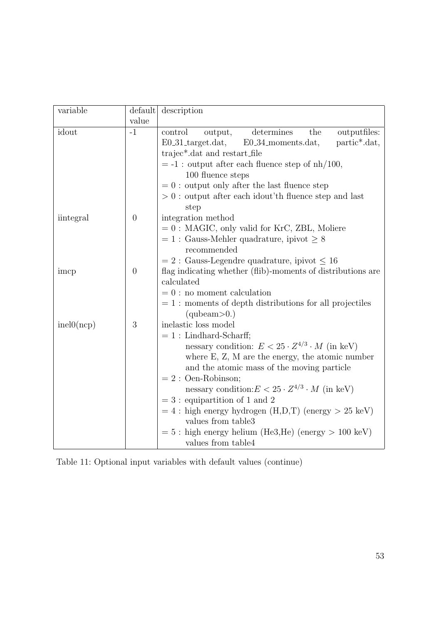| variable   | default        | description                                                                                 |  |  |  |  |
|------------|----------------|---------------------------------------------------------------------------------------------|--|--|--|--|
|            | value          |                                                                                             |  |  |  |  |
| idout      | $-1$           | determines<br>the<br>outputfiles:<br>control<br>output,                                     |  |  |  |  |
|            |                | $E0.31$ _target.dat,<br>partic*.dat,<br>$E0.34$ moments.dat,                                |  |  |  |  |
|            |                | trajec*.dat and restart_file                                                                |  |  |  |  |
|            |                | $= -1$ : output after each fluence step of $nh/100$ ,                                       |  |  |  |  |
|            |                | 100 fluence steps                                                                           |  |  |  |  |
|            |                | $= 0$ : output only after the last fluence step                                             |  |  |  |  |
|            |                | $> 0$ : output after each idout'th fluence step and last<br>step                            |  |  |  |  |
| iintegral  | $\overline{0}$ | integration method                                                                          |  |  |  |  |
|            |                | $= 0$ : MAGIC, only valid for KrC, ZBL, Moliere                                             |  |  |  |  |
|            |                | $= 1$ : Gauss-Mehler quadrature, ipivot $\geq 8$<br>recommended                             |  |  |  |  |
|            |                | $= 2$ : Gauss-Legendre quadrature, ipivot $\leq 16$                                         |  |  |  |  |
| imcp       | $\overline{0}$ | flag indicating whether (flib)-moments of distributions are                                 |  |  |  |  |
|            |                | calculated                                                                                  |  |  |  |  |
|            |                | $= 0$ : no moment calculation<br>$= 1$ : moments of depth distributions for all projectiles |  |  |  |  |
|            |                |                                                                                             |  |  |  |  |
|            |                | (qubeam>0.)                                                                                 |  |  |  |  |
| inel0(ncp) | 3              | inelastic loss model                                                                        |  |  |  |  |
|            |                | $= 1$ : Lindhard-Scharff;                                                                   |  |  |  |  |
|            |                | nessary condition: $E < 25 \cdot Z^{4/3} \cdot M$ (in keV)                                  |  |  |  |  |
|            |                | where $E, Z, M$ are the energy, the atomic number                                           |  |  |  |  |
|            |                | and the atomic mass of the moving particle                                                  |  |  |  |  |
|            |                | $= 2$ : Oen-Robinson;                                                                       |  |  |  |  |
|            |                | nessary condition: $E < 25 \cdot Z^{4/3} \cdot M$ (in keV)                                  |  |  |  |  |
|            |                | $= 3$ : equipartition of 1 and 2                                                            |  |  |  |  |
|            |                | $= 4$ : high energy hydrogen $(H,D,T)$ (energy $> 25 \text{ keV}$ )                         |  |  |  |  |
|            |                | values from table3                                                                          |  |  |  |  |
|            |                | $= 5$ : high energy helium (He3,He) (energy $> 100 \text{ keV}$ )<br>values from table4     |  |  |  |  |
|            |                |                                                                                             |  |  |  |  |

Table 11: Optional input variables with default values (continue)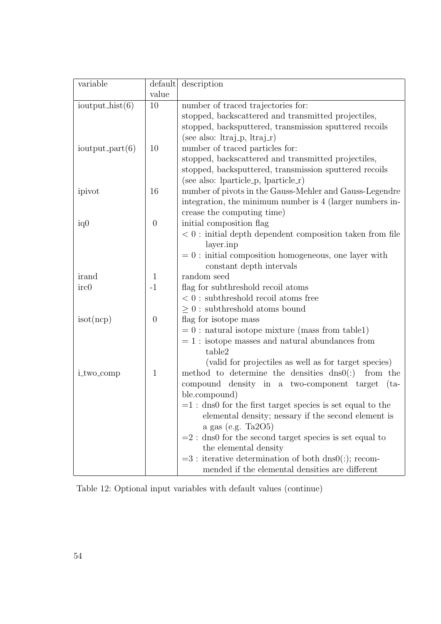| variable              | default        | description                                                                         |
|-----------------------|----------------|-------------------------------------------------------------------------------------|
|                       | value          |                                                                                     |
| ioutput_ $hist(6)$    | 10             | number of traced trajectories for:                                                  |
|                       |                | stopped, backscattered and transmitted projectiles,                                 |
|                       |                | stopped, backsputtered, transmission sputtered recoils                              |
|                       |                | (see also: $ltraj_p, ltraj_r)$                                                      |
| $i$ output_part $(6)$ | 10             | number of traced particles for:                                                     |
|                       |                | stopped, backscattered and transmitted projectiles,                                 |
|                       |                | stopped, backsputtered, transmission sputtered recoils                              |
|                       |                | (see also: lparticle_p, lparticle_r)                                                |
| ipivot                | 16             | number of pivots in the Gauss-Mehler and Gauss-Legendre                             |
|                       |                | integration, the minimum number is 4 (larger numbers in-                            |
|                       |                | crease the computing time)                                                          |
| iq0                   | $\overline{0}$ | initial composition flag                                                            |
|                       |                | $<0$ : initial depth dependent composition taken from file                          |
|                       |                | layer.inp                                                                           |
|                       |                | $= 0$ : initial composition homogeneous, one layer with                             |
|                       |                | constant depth intervals                                                            |
| irand                 | $\mathbf{1}$   | random seed                                                                         |
| irc0                  | $-1$           | flag for subthreshold recoil atoms                                                  |
|                       |                | $< 0$ : subthreshold recoil atoms free                                              |
|                       |                | $\geq 0$ : subthreshold atoms bound                                                 |
| isot(ncp)             | $\theta$       | flag for isotope mass                                                               |
|                       |                | $= 0$ : natural isotope mixture (mass from table1)                                  |
|                       |                | $= 1$ : isotope masses and natural abundances from                                  |
|                       |                | table2                                                                              |
|                       |                | (valid for projectiles as well as for target species)                               |
| i_two_comp            | $\mathbf{1}$   | method to determine the densities $\text{dns0}(:)$<br>from the                      |
|                       |                | compound density in a two-component target<br>$(ta-$                                |
|                       |                | ble.compound)                                                                       |
|                       |                | $=1$ : dns0 for the first target species is set equal to the                        |
|                       |                | elemental density; nessary if the second element is<br>a gas (e.g. Ta $2O5$ )       |
|                       |                |                                                                                     |
|                       |                | $=$ 2 : dns0 for the second target species is set equal to<br>the elemental density |
|                       |                | $=3$ : iterative determination of both dns0(:); recom-                              |
|                       |                | mended if the elemental densities are different                                     |
|                       |                |                                                                                     |

Table 12: Optional input variables with default values (continue)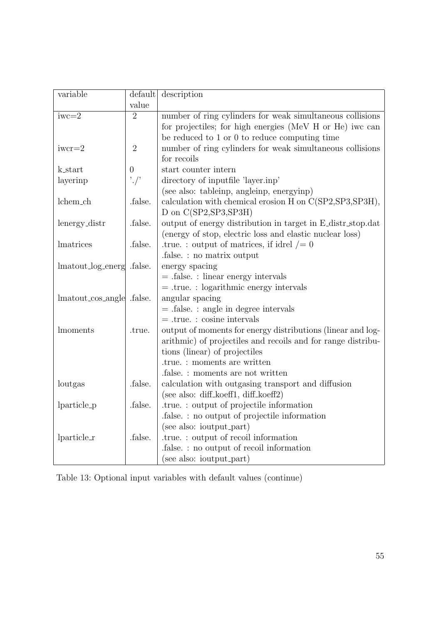| variable                  | default           | description                                                  |  |
|---------------------------|-------------------|--------------------------------------------------------------|--|
|                           | value             |                                                              |  |
| $iwc=2$                   | $\overline{2}$    | number of ring cylinders for weak simultaneous collisions    |  |
|                           |                   | for projectiles; for high energies (MeV H or He) iwc can     |  |
|                           |                   | be reduced to 1 or 0 to reduce computing time                |  |
| $iwcr=2$                  | $\overline{2}$    | number of ring cylinders for weak simultaneous collisions    |  |
|                           |                   | for recoils                                                  |  |
| k_start                   | $\theta$          | start counter intern                                         |  |
| layerinp                  | $\cdot$ / $\cdot$ | directory of inputfile 'layer.inp'                           |  |
|                           |                   | (see also: tableinp, angleinp, energyinp)                    |  |
| lchem_ch                  | .false.           | calculation with chemical erosion H on C(SP2, SP3, SP3H),    |  |
|                           |                   | D on $C(SP2, SP3, SP3H)$                                     |  |
| lenergy_distr             | .false.           | output of energy distribution in target in E_distr_stop.dat  |  |
|                           |                   | (energy of stop, electric loss and elastic nuclear loss)     |  |
| lmatrices                 | .false.           | true.: output of matrices, if idrel $/ = 0$                  |  |
|                           |                   | .false.: no matrix output                                    |  |
| lmatout_log_energ         | .false.           | energy spacing                                               |  |
|                           |                   | $=$ false. : linear energy intervals                         |  |
|                           |                   | $=$ .true.: logarithmic energy intervals                     |  |
| lmatout_cos_angle .false. |                   | angular spacing                                              |  |
|                           |                   | $=$ false. : angle in degree intervals                       |  |
|                           |                   | $=$ .true.: cosine intervals                                 |  |
| lmoments                  | .true.            | output of moments for energy distributions (linear and log-  |  |
|                           |                   | arithmic) of projectiles and recoils and for range distribu- |  |
|                           |                   | tions (linear) of projectiles                                |  |
|                           |                   | .true.: moments are written                                  |  |
|                           |                   | false.: moments are not written                              |  |
| loutgas                   | .false.           | calculation with outgasing transport and diffusion           |  |
|                           |                   | (see also: diff_koeff1, diff_koeff2)                         |  |
| lparticle <sub>-p</sub>   | .false.           | .true.: output of projectile information                     |  |
|                           |                   | .false. : no output of projectile information                |  |
|                           |                   | (see also: ioutput_part)                                     |  |
| $ particle_r $            | .false.           | .true.: output of recoil information                         |  |
|                           |                   | false.: no output of recoil information                      |  |
|                           |                   | (see also: ioutput_part)                                     |  |

Table 13: Optional input variables with default values (continue)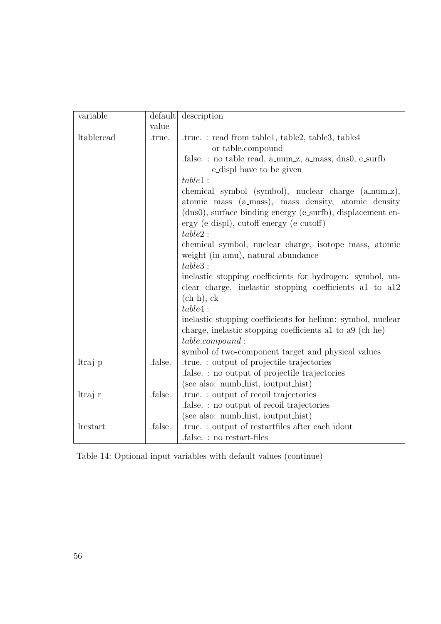| variable            |         | default description                                                                                                                                                                                                                     |  |
|---------------------|---------|-----------------------------------------------------------------------------------------------------------------------------------------------------------------------------------------------------------------------------------------|--|
|                     | value   |                                                                                                                                                                                                                                         |  |
| ltableread          | .true.  | .true.: read from table1, table2, table3, table4<br>or table.compound<br>false.: no table read, a_num_z, a_mass, dns0, e_surfb                                                                                                          |  |
|                     |         | e_displ have to be given                                                                                                                                                                                                                |  |
|                     |         | table1:                                                                                                                                                                                                                                 |  |
|                     |         | chemical symbol (symbol), nuclear charge (a_num_z),<br>atomic mass (a_mass), mass density, atomic density<br>(dns0), surface binding energy (e_surfb), displacement en-<br>$\text{ergy}$ (e_displ), cutoff energy (e_cutoff)<br>table2: |  |
|                     |         | chemical symbol, nuclear charge, isotope mass, atomic<br>weight (in amu), natural abundance                                                                                                                                             |  |
|                     |         | table3:                                                                                                                                                                                                                                 |  |
|                     |         | inelastic stopping coefficients for hydrogen: symbol, nu-<br>clear charge, inelastic stopping coefficients al to al2<br>$(chn)$ , ck                                                                                                    |  |
|                     |         | table4:                                                                                                                                                                                                                                 |  |
|                     |         | inelastic stopping coefficients for helium: symbol, nuclear<br>charge, inelastic stopping coefficients al to a9 (ch_he)<br>table.com pound:                                                                                             |  |
|                     |         | symbol of two-component target and physical values                                                                                                                                                                                      |  |
| ltraj <sub>-p</sub> | .false. | .true.: output of projectile trajectories                                                                                                                                                                                               |  |
|                     |         | false.: no output of projectile trajectories                                                                                                                                                                                            |  |
|                     |         | (see also: numb_hist, ioutput_hist)                                                                                                                                                                                                     |  |
| $ltraj_r$           | .false. | .true.: output of recoil trajectories                                                                                                                                                                                                   |  |
|                     |         | false.: no output of recoil trajectories                                                                                                                                                                                                |  |
|                     |         | (see also: numb_hist, ioutput_hist)                                                                                                                                                                                                     |  |
| <i>lrestart</i>     | .false. | true.: output of restartfiles after each idout.                                                                                                                                                                                         |  |
|                     |         | false.: no restart-files                                                                                                                                                                                                                |  |

Table 14: Optional input variables with default values (continue)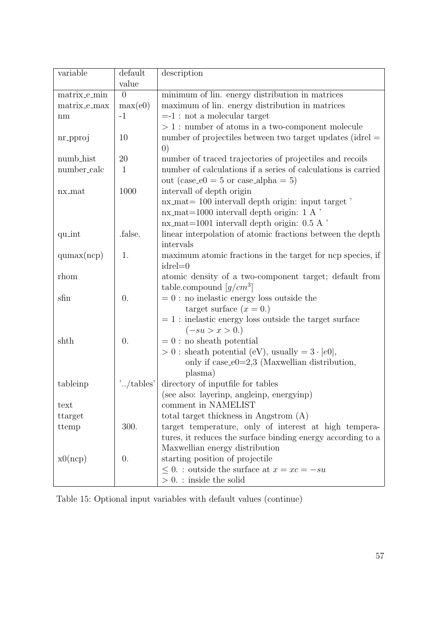| variable     | default          | description                                                                      |  |
|--------------|------------------|----------------------------------------------------------------------------------|--|
|              | value            |                                                                                  |  |
| matrix e_min | $\overline{0}$   | minimum of lin. energy distribution in matrices                                  |  |
| matrix_e_max | max(e0)          | maximum of lin. energy distribution in matrices                                  |  |
| nm           | $-1$             | $= -1$ : not a molecular target                                                  |  |
|              |                  | $> 1$ : number of atoms in a two-component molecule                              |  |
| nr_pproj     | 10               | number of projectiles between two target updates (idrel $=$<br>$\left( 0\right)$ |  |
| numb_hist    | 20               | number of traced trajectories of projectiles and recoils                         |  |
| number_calc  | 1                | number of calculations if a series of calculations is carried                    |  |
|              |                  | out (case_e0 = 5 or case_alpha = 5)                                              |  |
| nx_mat       | 1000             | intervall of depth origin                                                        |  |
|              |                  | $nx\_mat = 100$ intervall depth origin: input target                             |  |
|              |                  | $nx\_mat=1000$ intervall depth origin: 1 A '                                     |  |
|              |                  | $nx\_mat=1001$ intervall depth origin: 0.5 A                                     |  |
| quint        | .false.          | linear interpolation of atomic fractions between the depth                       |  |
|              |                  | intervals                                                                        |  |
| qumax(ncp)   | 1.               | maximum atomic fractions in the target for ncp species, if                       |  |
|              |                  | $idrel = 0$                                                                      |  |
| rhom         |                  | atomic density of a two-component target; default from                           |  |
|              |                  | table.compound $[g/cm^3]$                                                        |  |
| sfin         | 0.               | $= 0$ : no inelastic energy loss outside the                                     |  |
|              |                  | target surface $(x = 0.)$                                                        |  |
|              |                  | $= 1$ : inelastic energy loss outside the target surface                         |  |
|              |                  | $(-su > x > 0.)$                                                                 |  |
| shth         | $\overline{0}$ . | $=0$ : no sheath potential                                                       |  |
|              |                  | $> 0$ : sheath potential (eV), usually = $3 \cdot  e0 $ ,                        |  |
|              |                  | only if $case_e0=2,3$ (Maxwellian distribution,                                  |  |
|              |                  | plasma)                                                                          |  |
| tableinp     | '/tables'        | directory of inputfile for tables                                                |  |
|              |                  | (see also: layerinp, angleinp, energyinp)                                        |  |
| text         |                  | comment in NAMELIST                                                              |  |
| ttarget      |                  | total target thickness in Angstrom (A)                                           |  |
| ttemp        | 300.             | target temperature, only of interest at high tempera-                            |  |
|              |                  | tures, it reduces the surface binding energy according to a                      |  |
|              |                  | Maxwellian energy distribution                                                   |  |
| x0(ncp)      | $\theta$ .       | starting position of projectile                                                  |  |
|              |                  | $\leq 0$ .: outside the surface at $x = xc = -su$                                |  |
|              |                  | $> 0$ . : inside the solid                                                       |  |

Table 15: Optional input variables with default values (continue)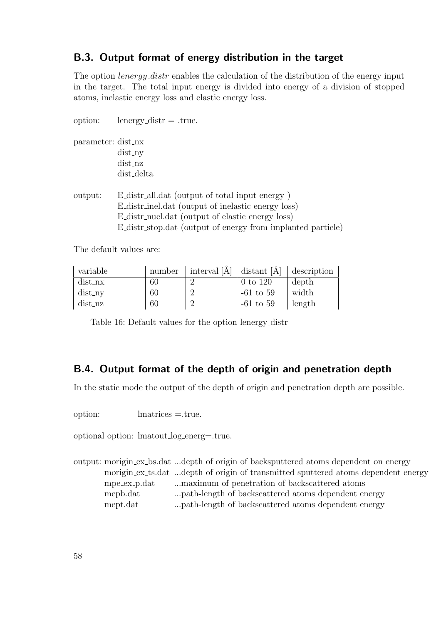### B.3. Output format of energy distribution in the target

The option *lenergy distr* enables the calculation of the distribution of the energy input in the target. The total input energy is divided into energy of a division of stopped atoms, inelastic energy loss and elastic energy loss.

| option:            | $l$ energy_distr = .true.                                                                                                                                                                                               |
|--------------------|-------------------------------------------------------------------------------------------------------------------------------------------------------------------------------------------------------------------------|
| parameter: dist_nx | $dist_n$<br>dist_nz                                                                                                                                                                                                     |
|                    | dist_delta                                                                                                                                                                                                              |
| output:            | E_distr_all.dat (output of total input energy)<br>E_distr_inel.dat (output of inelastic energy loss)<br>E_distr_nucl.dat (output of elastic energy loss)<br>E_distr_stop.dat (output of energy from implanted particle) |

The default values are:

| variable  | number | interval [A] | $\vert$ distant [A] | description |
|-----------|--------|--------------|---------------------|-------------|
| $dist_n$  | 60     |              | 0 to 120            | depth       |
| $dist_n$  | 60     |              | $-61$ to $59$       | width       |
| $dist_nz$ | 60     |              | $-61$ to $59$       | length      |

Table 16: Default values for the option lenergy distr

### B.4. Output format of the depth of origin and penetration depth

In the static mode the output of the depth of origin and penetration depth are possible.

option: lmatrices =.true.

optional option: lmatout log energ=.true.

output: morigin ex bs.dat ...depth of origin of backsputtered atoms dependent on energy morigin ex ts.dat ...depth of origin of transmitted sputtered atoms dependent energy mpe ex p.dat ... maximum of penetration of backscattered atoms mepb.dat ...path-length of backscattered atoms dependent energy mept.dat ...path-length of backscattered atoms dependent energy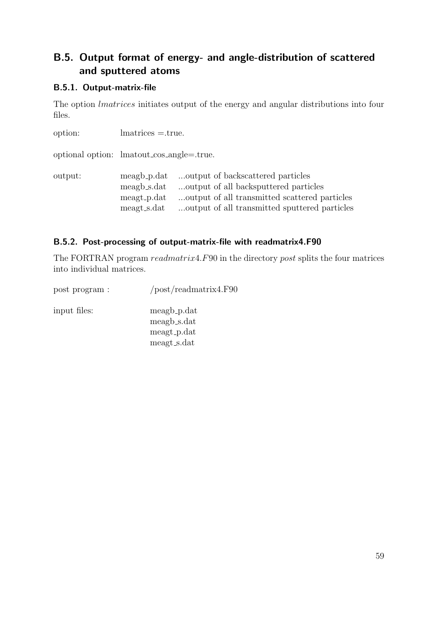## B.5. Output format of energy- and angle-distribution of scattered and sputtered atoms

### B.5.1. Output-matrix-file

The option lmatrices initiates output of the energy and angular distributions into four files.

| option:                                   | $\text{matrices} = \text{true}.$                         |                                                                                                                                                                              |
|-------------------------------------------|----------------------------------------------------------|------------------------------------------------------------------------------------------------------------------------------------------------------------------------------|
| optional option: lmatout_cos_angle=.true. |                                                          |                                                                                                                                                                              |
| output:                                   | meagb_p.dat<br>meagb_s.dat<br>meagt_p.dat<br>meagt_s.dat | output of backscattered particles<br>output of all backsputtered particles<br>output of all transmitted scattered particles<br>output of all transmitted sputtered particles |

### B.5.2. Post-processing of output-matrix-file with readmatrix4.F90

The FORTRAN program readmatrix4.F90 in the directory post splits the four matrices into individual matrices.

| post program : | $\text{post/readmatrix}4.F90$ |
|----------------|-------------------------------|
| input files:   | meagb_p.dat                   |
|                | meagb_s.dat                   |
|                | meagt_p.dat                   |
|                | meagt_s.dat                   |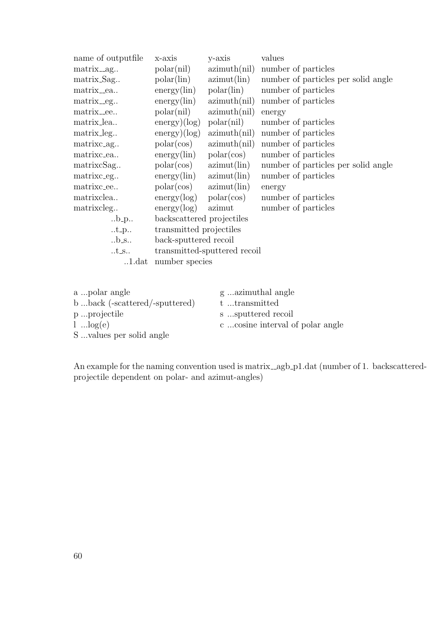| name of outputfile            | x-axis                      | y-axis                       | values                              |
|-------------------------------|-----------------------------|------------------------------|-------------------------------------|
| matrix <sub>-ag</sub>         | polar(nil)                  | azimuth(nil)                 | number of particles                 |
| matrix_Sag                    | polar(lin)                  | azimut(lin)                  | number of particles per solid angle |
| matrix_ea                     | energy(lin)                 | polar(lin)                   | number of particles                 |
| matrix <sub>-eg</sub>         | $energy(\text{lin})$        | azimuth(nil)                 | number of particles                 |
| matrix_ee                     | polar(nil)                  | azimuth(nil)                 | energy                              |
| matrix_lea                    | $\text{energy})(\log)$      | polar(nil)                   | number of particles                 |
| matrix_leg                    | energy)(log)                | azimuth(nil)                 | number of particles                 |
| matrixc <sub>ag</sub>         | polar(cos)                  | azimuth(nil)                 | number of particles                 |
| matrixc_ea                    | $energy(\text{lin})$        | polar(cos)                   | number of particles                 |
| matrixcSag                    | polar(cos)                  | azimut(lin)                  | number of particles per solid angle |
| matrixc_eg                    | energy(lin)                 | azimut(lin)                  | number of particles                 |
| matrixc_ee                    | $polar(cos)$ $azimut(lin)$  |                              | energy                              |
| matrixclea                    | $energy(log)$ polar $(cos)$ |                              | number of particles                 |
| matrixcleg                    | energy(log)                 | azimut                       | number of particles                 |
| $\ldots$ b <sub>-</sub> p     | backscattered projectiles   |                              |                                     |
| $.t_p.$                       | transmitted projectiles     |                              |                                     |
| $.b_s$ .                      | back-sputtered recoil       |                              |                                     |
| $t$ _s                        |                             | transmitted-sputtered recoil |                                     |
| $0.1 \mathrm{.} \mathrm{dat}$ | number species              |                              |                                     |
|                               |                             |                              |                                     |
|                               |                             |                              |                                     |

| a polar angle                 | g azimuthal angle               |
|-------------------------------|---------------------------------|
| bback (-scattered/-sputtered) | t transmitted                   |
| pprojectile                   | s sputtered recoil              |
| $l$ $log(e)$                  | ccosine interval of polar angle |
| S values per solid angle      |                                 |

An example for the naming convention used is matrix\_agb\_p1.dat (number of 1. backscatteredprojectile dependent on polar- and azimut-angles)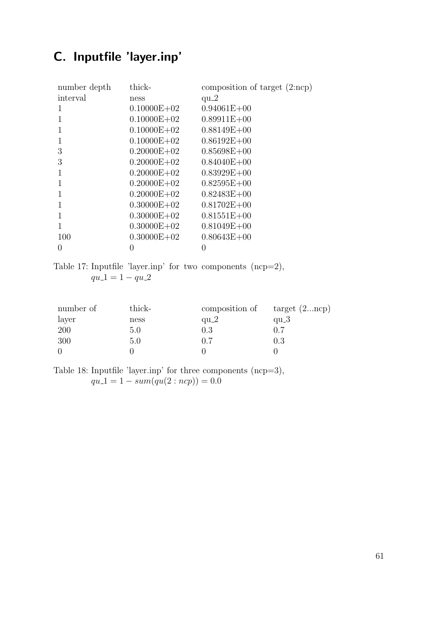# C. Inputfile 'layer.inp'

| number depth | thick-          | composition of target $(2 \text{ncp})$ |
|--------------|-----------------|----------------------------------------|
| interval     | ness            | $qu_2$                                 |
| $\mathbf{I}$ | $0.10000E + 02$ | $0.94061E + 00$                        |
| 1            | $0.10000E + 02$ | $0.89911E + 00$                        |
|              | $0.10000E + 02$ | $0.88149E + 00$                        |
| 1            | $0.10000E + 02$ | $0.86192E + 00$                        |
| 3            | $0.20000E + 02$ | $0.85698E + 00$                        |
| 3            | $0.20000E + 02$ | $0.84040E + 00$                        |
|              | $0.20000E + 02$ | $0.83929E + 00$                        |
| 1            | $0.20000E + 02$ | $0.82595E+00$                          |
|              | $0.20000E + 02$ | $0.82483E + 00$                        |
|              | $0.30000E + 02$ | $0.81702E + 00$                        |
|              | $0.30000E + 02$ | $0.81551E + 00$                        |
|              | $0.30000E + 02$ | $0.81049E + 00$                        |
| 100          | $0.30000E + 02$ | $0.80643E + 00$                        |
| 0            | 0               |                                        |

Table 17: Inputfile 'layer.inp' for two components (ncp=2),  $qu_1 = 1 - qu_2$ 

| number of | thick- | composition of | target $(2ncp)$ |
|-----------|--------|----------------|-----------------|
| layer     | ness   | $qu_2$         | qu $-3$         |
| 200       | 5.0    | 0.3            | (0.7)           |
| 300       | 5.0    | 0.7            | 0.3             |
|           |        |                |                 |

Table 18: Inputfile 'layer.inp' for three components (ncp=3),  $qu.1 = 1 - sum-qu(2:ncp)) = 0.0$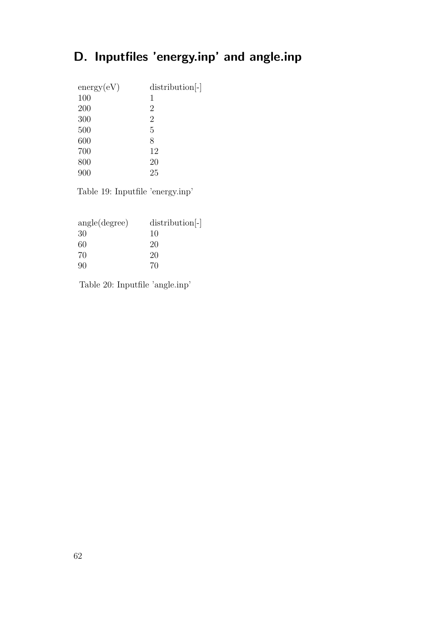# D. Inputfiles 'energy.inp' and angle.inp

| distribution <sup>[-]</sup> |
|-----------------------------|
| 1                           |
| 2                           |
| $\overline{2}$              |
| 5                           |
| 8                           |
| 12                          |
| 20                          |
| 25                          |
|                             |

Table 19: Inputfile 'energy.inp'

| distribution <sup>-1</sup> |
|----------------------------|
| 10                         |
| 20                         |
| 20                         |
| 70                         |
|                            |

Table 20: Inputfile 'angle.inp'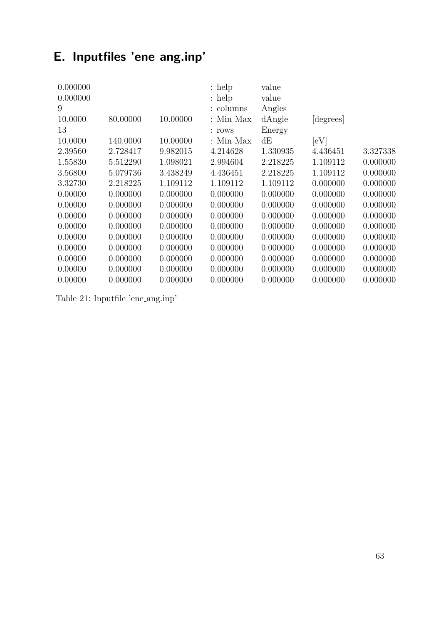# E. Inputfiles 'ene ang.inp'

|          |          | $:$ help    | value    |                  |          |
|----------|----------|-------------|----------|------------------|----------|
|          |          | $:$ help    | value    |                  |          |
|          |          | : columns   |          |                  |          |
| 80.00000 | 10.00000 | : Min Max   |          |                  |          |
|          |          | : rows      | Energy   |                  |          |
| 140.0000 | 10.00000 | $:$ Min Max | dE       | [eV]             |          |
| 2.728417 | 9.982015 | 4.214628    | 1.330935 | 4.436451         | 3.327338 |
| 5.512290 | 1.098021 | 2.994604    | 2.218225 | 1.109112         | 0.000000 |
| 5.079736 | 3.438249 | 4.436451    | 2.218225 | 1.109112         | 0.000000 |
| 2.218225 | 1.109112 | 1.109112    | 1.109112 | 0.000000         | 0.000000 |
| 0.000000 | 0.000000 | 0.000000    | 0.000000 | 0.000000         | 0.000000 |
| 0.000000 | 0.000000 | 0.000000    | 0.000000 | 0.000000         | 0.000000 |
| 0.000000 | 0.000000 | 0.000000    | 0.000000 | 0.000000         | 0.000000 |
| 0.000000 | 0.000000 | 0.000000    | 0.000000 | 0.000000         | 0.000000 |
| 0.000000 | 0.000000 | 0.000000    | 0.000000 | 0.000000         | 0.000000 |
| 0.000000 | 0.000000 | 0.000000    | 0.000000 | 0.000000         | 0.000000 |
| 0.000000 | 0.000000 | 0.000000    | 0.000000 | 0.000000         | 0.000000 |
| 0.000000 | 0.000000 | 0.000000    | 0.000000 | 0.000000         | 0.000000 |
| 0.000000 | 0.000000 | 0.000000    | 0.000000 | 0.000000         | 0.000000 |
|          |          |             |          | Angles<br>dAngle | degrees  |

Table 21: Inputfile 'ene ang.inp'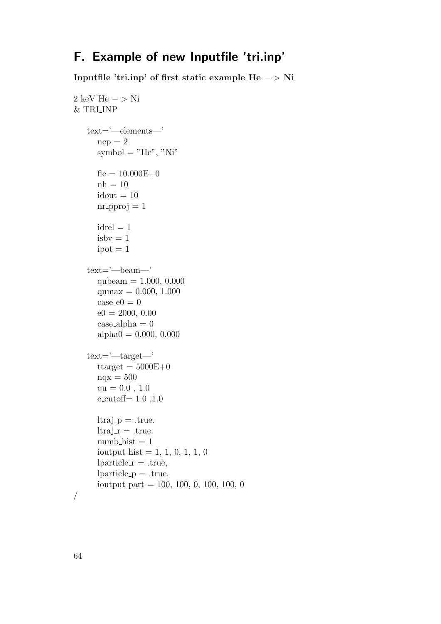## F. Example of new Inputfile 'tri.inp'

Inputfile 'tri.inp' of first static example He − > Ni

```
2 keV He − > Ni
& TRI INP
   text='—elements—'
      ncp = 2symbol = "He", "Ni"f_{\text{nc}} = 10.000E_{+0}nh = 10idout = 10nr-pproj = 1
      idrel = 1isbv = 1ipot = 1text='—beam—'
      qubeam = 1.000, 0.000qumax = 0.000, 1.000case_e0 = 0e0 = 2000, 0.00case_ \alphalpha = 0
      alpha0 = 0.000, 0.000text='—target—'
      ttarget = 5000E + 0nqx = 500qu = 0.0, 1.0e_cutoff= 1.0, 1.0ltraj_p = .true.ltraj_r = .true.number\_hist = 1ioutput hist = 1, 1, 0, 1, 1, 0\text{bart} = \text{.true},\text{Iparticle}_{\text{p}} = \text{true}.ioutput part = 100, 100, 0, 100, 100, 0
/
```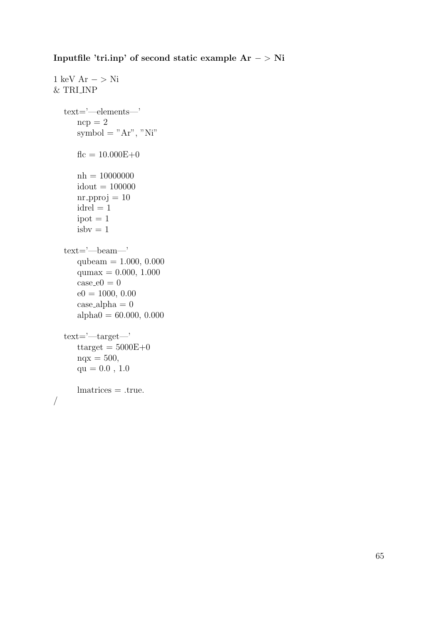Inputfile 'tri.inp' of second static example Ar − > Ni

```
1 keV Ar - > Ni
& TRI INP
  text='—elements—'
     ncp = 2symbol = "Ar", "Ni"f_{\text{f}} = 10.000E_{+0}nh = 10000000idout = 100000nr pproj = 10idrel = 1\mathrm{ipot}=1isbv = 1text='—beam—'
     qubeam = 1.000, 0.000
     qumax = 0.000, 1.000case_e0 = 0e0 = 1000, 0.00case\_alpha = 0alpha0 = 60.000, 0.000text='—target—'
     ttarget = 5000E+0nqx = 500,\rm{qu}=0.0 , 1.0lmatrices = .true.
/
```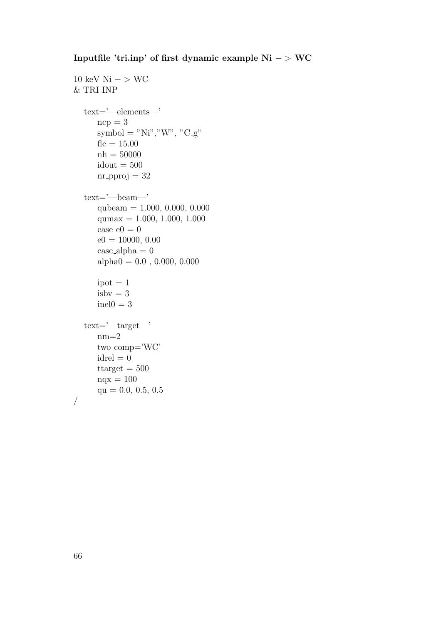### Inputfile 'tri.inp' of first dynamic example Ni − > WC

```
10 \text{ keV Ni} - > \text{WC}& TRI INP
  text='—elements—'
     ncp = 3symbol = "Ni", "W", "C_g"f_{\text{f}} = 15.00nh = 50000idout = 500nr pproj = 32text='—beam—'
     qubeam = 1.000, 0.000, 0.000
     qumax = 1.000, 1.000, 1.000case_e0 = 0e0 = 10000, 0.00case-alpha = 0alpha0 = 0.0, 0.000, 0.000ipot = 1isbv = 3inel0 = 3text='—target—'
     nm=2two comp='WC'
     idrel = 0ttarget = 500nqx = 100qu = 0.0, 0.5, 0.5/
```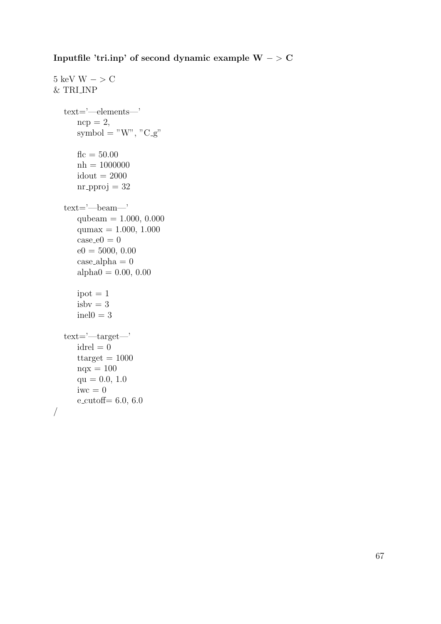Inputfile 'tri.inp' of second dynamic example W − > C

```
5 keV W - > C
& TRI INP
  text='—elements—'
     ncp = 2,
     symbol = "W", "C_g"
     f_{\text{f}} = 50.00nh = 1000000idout = 2000nr pproj = 32text='—beam—'
     qubeam = 1.000, 0.000qumax = 1.000, 1.000case_e0 = 0e0 = 5000, 0.00case\_alpha = 0alpha0 = 0.00, 0.00ipot = 1isbv = 3inel0 = 3text='—target—'
     idrel = 0ttarget = 1000nqx = 100qu = 0.0, 1.0iwc = 0e-cutoff= 6.0, 6.0
/
```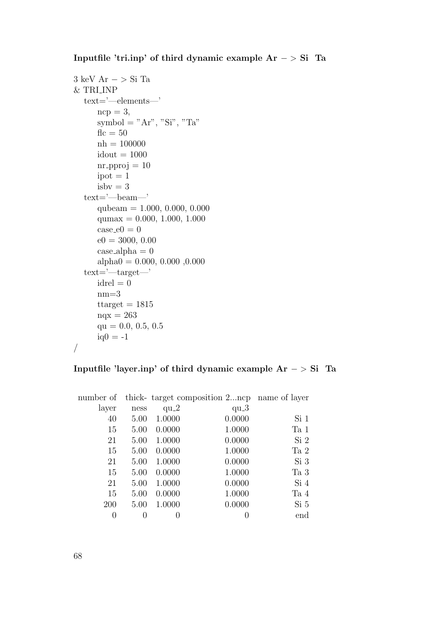#### Inputfile 'tri.inp' of third dynamic example  $Ar - > Si$  Ta

```
3 keV Ar − > Si Ta
& TRI INP
  text='—elements—'
     ncp = 3,
     symbol = "Ar", "Si", "Ta"f_{\text{f}} = 50nh = 100000idout = 1000nr-pproj = 10
     ipot = 1isbv = 3text='—beam—'
     qubeam = 1.000, 0.000, 0.000
     qumax = 0.000, 1.000, 1.000case_e0 = 0e0 = 3000, 0.00case-alpha = 0alpha0 = 0.000, 0.000, 0.000text='—target—'
     idrel = 0nm=3ttarget = 1815nqx = 263qu = 0.0, 0.5, 0.5iq0 = -1/
```
#### Inputfile 'layer.inp' of third dynamic example Ar − > Si Ta

| number of |                  |                  | thick- target composition 2ncp name of layer |                 |
|-----------|------------------|------------------|----------------------------------------------|-----------------|
| layer     | ness             | $qu_2$           | $qu-3$                                       |                 |
| 40        | 5.00             | 1.0000           | 0.0000                                       | Si <sub>1</sub> |
| 15        | 5.00             | 0.0000           | 1.0000                                       | Ta 1            |
| 21        | 5.00             | 1.0000           | 0.0000                                       | Si <sub>2</sub> |
| 15        | 5.00             | 0.0000           | 1.0000                                       | Ta 2            |
| 21        | 5.00             | 1.0000           | 0.0000                                       | Si <sub>3</sub> |
| 15        | 5.00             | 0.0000           | 1.0000                                       | Ta 3            |
| 21        | 5.00             | 1.0000           | 0.0000                                       | Si 4            |
| 15        | 5.00             | 0.0000           | 1.0000                                       | Ta 4            |
| 200       | 5.00             | 1.0000           | 0.0000                                       | Si <sub>5</sub> |
| 0         | $\left( \right)$ | $\left( \right)$ |                                              | end             |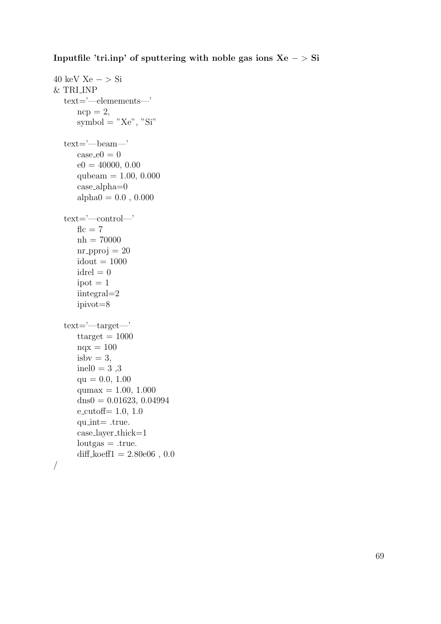#### Inputfile 'tri.inp' of sputtering with noble gas ions  $Xe - \sum Si$

```
40 keV Xe - > Si
& TRI INP
  text='—elemements—'
     ncp = 2,
     symbol = "Xe", "Si"text='—beam—'
     case_e0 = 0e0 = 40000, 0.00qubeam = 1.00, 0.000case alpha=0
     alpha0 = 0.0, 0.000text='—control—'
     f_{\text{f}} = 7nh = 70000nr pproj = 20idout = 1000idrel = 0ipot = 1iintegral=2
     ipivot=8
  text='—target—'
     ttarget = 1000nqx = 100isbv = 3,inel0 = 3,3qu = 0.0, 1.00qumax = 1.00, 1.000\text{dns0} = 0.01623, 0.04994e-cutoff= 1.0, 1.0
     qu int= .true.
     case layer thick=1
     loutgas = .true.diff_koeff1 = 2.80e06, 0.0
```

```
/
```